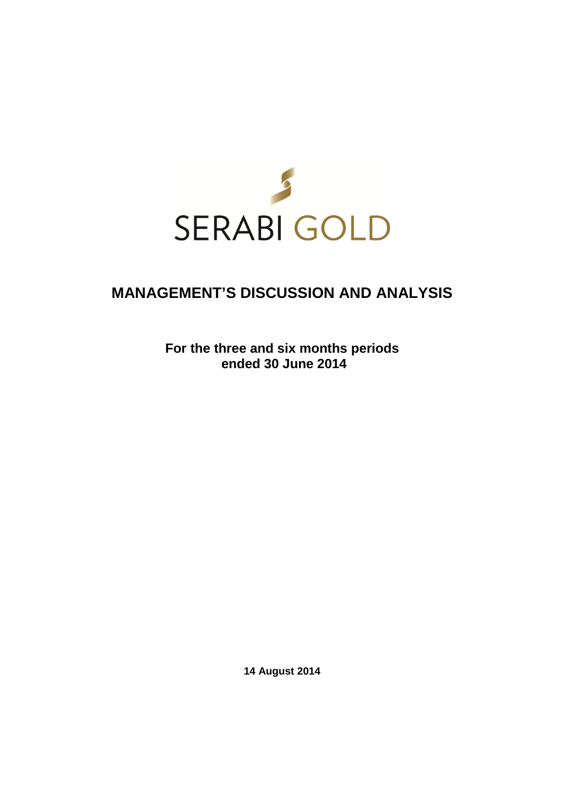

# **MANAGEMENT'S DISCUSSION AND ANALYSIS**

**For the three and six months periods ended 30 June 2014** 

**14 August 2014**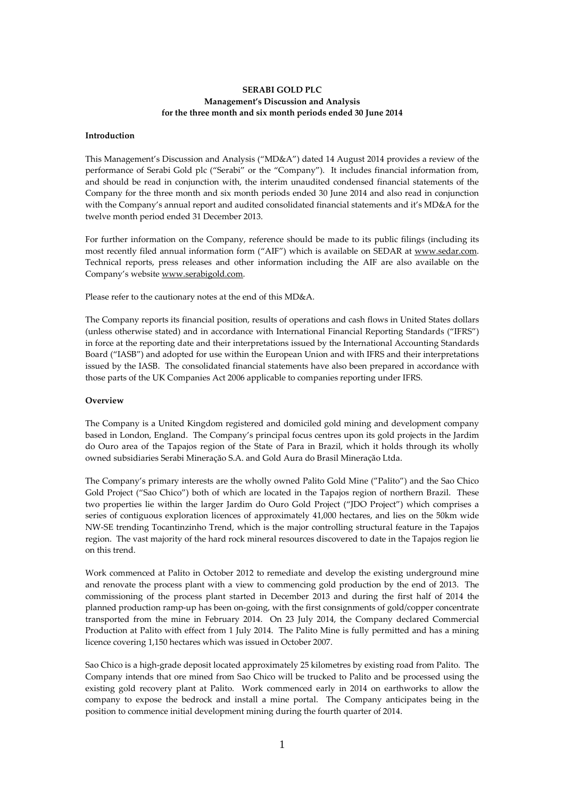# **SERABI GOLD PLC Management's Discussion and Analysis for the three month and six month periods ended 30 June 2014**

#### **Introduction**

This Management's Discussion and Analysis ("MD&A") dated 14 August 2014 provides a review of the performance of Serabi Gold plc ("Serabi" or the "Company"). It includes financial information from, and should be read in conjunction with, the interim unaudited condensed financial statements of the Company for the three month and six month periods ended 30 June 2014 and also read in conjunction with the Company's annual report and audited consolidated financial statements and it's MD&A for the twelve month period ended 31 December 2013.

For further information on the Company, reference should be made to its public filings (including its most recently filed annual information form ("AIF") which is available on SEDAR at www.sedar.com. Technical reports, press releases and other information including the AIF are also available on the Company's website www.serabigold.com.

Please refer to the cautionary notes at the end of this MD&A.

The Company reports its financial position, results of operations and cash flows in United States dollars (unless otherwise stated) and in accordance with International Financial Reporting Standards ("IFRS") in force at the reporting date and their interpretations issued by the International Accounting Standards Board ("IASB") and adopted for use within the European Union and with IFRS and their interpretations issued by the IASB. The consolidated financial statements have also been prepared in accordance with those parts of the UK Companies Act 2006 applicable to companies reporting under IFRS.

#### **Overview**

The Company is a United Kingdom registered and domiciled gold mining and development company based in London, England. The Company's principal focus centres upon its gold projects in the Jardim do Ouro area of the Tapajos region of the State of Para in Brazil, which it holds through its wholly owned subsidiaries Serabi Mineraçăo S.A. and Gold Aura do Brasil Mineraçăo Ltda.

The Company's primary interests are the wholly owned Palito Gold Mine ("Palito") and the Sao Chico Gold Project ("Sao Chico") both of which are located in the Tapajos region of northern Brazil. These two properties lie within the larger Jardim do Ouro Gold Project ("JDO Project") which comprises a series of contiguous exploration licences of approximately 41,000 hectares, and lies on the 50km wide NW-SE trending Tocantinzinho Trend, which is the major controlling structural feature in the Tapajos region. The vast majority of the hard rock mineral resources discovered to date in the Tapajos region lie on this trend.

Work commenced at Palito in October 2012 to remediate and develop the existing underground mine and renovate the process plant with a view to commencing gold production by the end of 2013. The commissioning of the process plant started in December 2013 and during the first half of 2014 the planned production ramp-up has been on-going, with the first consignments of gold/copper concentrate transported from the mine in February 2014. On 23 July 2014, the Company declared Commercial Production at Palito with effect from 1 July 2014. The Palito Mine is fully permitted and has a mining licence covering 1,150 hectares which was issued in October 2007.

Sao Chico is a high-grade deposit located approximately 25 kilometres by existing road from Palito. The Company intends that ore mined from Sao Chico will be trucked to Palito and be processed using the existing gold recovery plant at Palito. Work commenced early in 2014 on earthworks to allow the company to expose the bedrock and install a mine portal. The Company anticipates being in the position to commence initial development mining during the fourth quarter of 2014.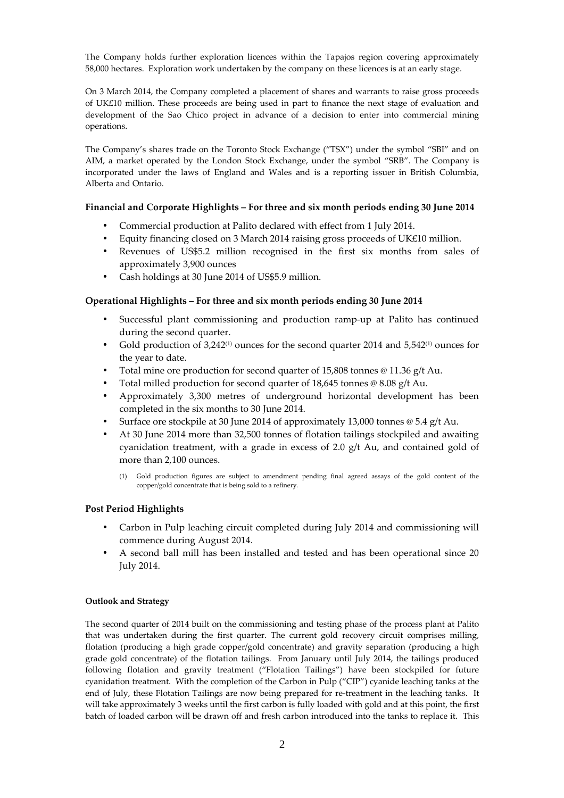The Company holds further exploration licences within the Tapajos region covering approximately 58,000 hectares. Exploration work undertaken by the company on these licences is at an early stage.

On 3 March 2014, the Company completed a placement of shares and warrants to raise gross proceeds of UK£10 million. These proceeds are being used in part to finance the next stage of evaluation and development of the Sao Chico project in advance of a decision to enter into commercial mining operations.

The Company's shares trade on the Toronto Stock Exchange ("TSX") under the symbol "SBI" and on AIM, a market operated by the London Stock Exchange, under the symbol "SRB". The Company is incorporated under the laws of England and Wales and is a reporting issuer in British Columbia, Alberta and Ontario.

# **Financial and Corporate Highlights – For three and six month periods ending 30 June 2014**

- Commercial production at Palito declared with effect from 1 July 2014.
- Equity financing closed on 3 March 2014 raising gross proceeds of UK£10 million.
- Revenues of US\$5.2 million recognised in the first six months from sales of approximately 3,900 ounces
- Cash holdings at 30 June 2014 of US\$5.9 million.

# **Operational Highlights – For three and six month periods ending 30 June 2014**

- Successful plant commissioning and production ramp-up at Palito has continued during the second quarter.
- Gold production of  $3,242^{(1)}$  ounces for the second quarter 2014 and  $5,542^{(1)}$  ounces for the year to date.
- Total mine ore production for second quarter of 15,808 tonnes @ 11.36 g/t Au.
- Total milled production for second quarter of 18,645 tonnes @ 8.08 g/t Au.
- Approximately 3,300 metres of underground horizontal development has been completed in the six months to 30 June 2014.
- Surface ore stockpile at 30 June 2014 of approximately 13,000 tonnes  $\emptyset$  5.4 g/t Au.
- At 30 June 2014 more than 32,500 tonnes of flotation tailings stockpiled and awaiting cyanidation treatment, with a grade in excess of 2.0  $g/t$  Au, and contained gold of more than 2,100 ounces.
	- (1) Gold production figures are subject to amendment pending final agreed assays of the gold content of the copper/gold concentrate that is being sold to a refinery.

# **Post Period Highlights**

- Carbon in Pulp leaching circuit completed during July 2014 and commissioning will commence during August 2014.
- A second ball mill has been installed and tested and has been operational since 20 July 2014.

# **Outlook and Strategy**

The second quarter of 2014 built on the commissioning and testing phase of the process plant at Palito that was undertaken during the first quarter. The current gold recovery circuit comprises milling, flotation (producing a high grade copper/gold concentrate) and gravity separation (producing a high grade gold concentrate) of the flotation tailings. From January until July 2014, the tailings produced following flotation and gravity treatment ("Flotation Tailings") have been stockpiled for future cyanidation treatment. With the completion of the Carbon in Pulp ("CIP") cyanide leaching tanks at the end of July, these Flotation Tailings are now being prepared for re-treatment in the leaching tanks. It will take approximately 3 weeks until the first carbon is fully loaded with gold and at this point, the first batch of loaded carbon will be drawn off and fresh carbon introduced into the tanks to replace it. This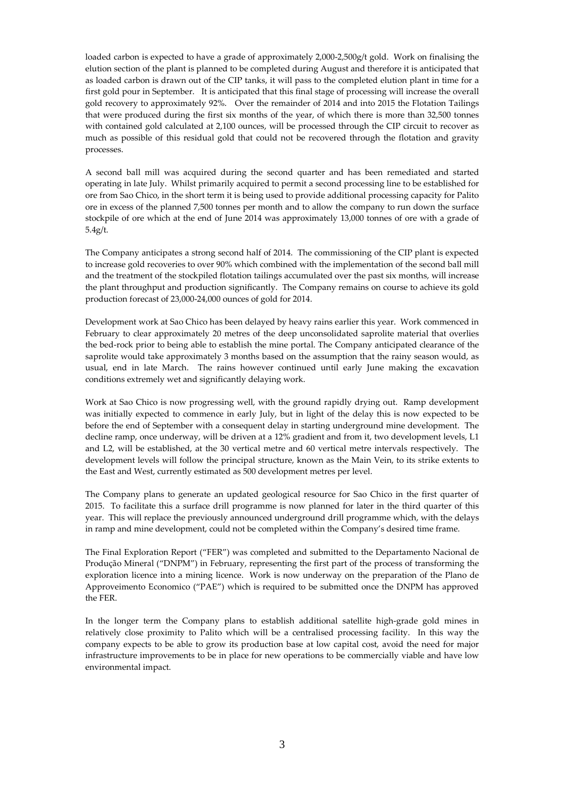loaded carbon is expected to have a grade of approximately 2,000-2,500g/t gold. Work on finalising the elution section of the plant is planned to be completed during August and therefore it is anticipated that as loaded carbon is drawn out of the CIP tanks, it will pass to the completed elution plant in time for a first gold pour in September. It is anticipated that this final stage of processing will increase the overall gold recovery to approximately 92%. Over the remainder of 2014 and into 2015 the Flotation Tailings that were produced during the first six months of the year, of which there is more than 32,500 tonnes with contained gold calculated at 2,100 ounces, will be processed through the CIP circuit to recover as much as possible of this residual gold that could not be recovered through the flotation and gravity processes.

A second ball mill was acquired during the second quarter and has been remediated and started operating in late July. Whilst primarily acquired to permit a second processing line to be established for ore from Sao Chico, in the short term it is being used to provide additional processing capacity for Palito ore in excess of the planned 7,500 tonnes per month and to allow the company to run down the surface stockpile of ore which at the end of June 2014 was approximately 13,000 tonnes of ore with a grade of 5.4g/t.

The Company anticipates a strong second half of 2014. The commissioning of the CIP plant is expected to increase gold recoveries to over 90% which combined with the implementation of the second ball mill and the treatment of the stockpiled flotation tailings accumulated over the past six months, will increase the plant throughput and production significantly. The Company remains on course to achieve its gold production forecast of 23,000-24,000 ounces of gold for 2014.

Development work at Sao Chico has been delayed by heavy rains earlier this year. Work commenced in February to clear approximately 20 metres of the deep unconsolidated saprolite material that overlies the bed-rock prior to being able to establish the mine portal. The Company anticipated clearance of the saprolite would take approximately 3 months based on the assumption that the rainy season would, as usual, end in late March. The rains however continued until early June making the excavation conditions extremely wet and significantly delaying work.

Work at Sao Chico is now progressing well, with the ground rapidly drying out. Ramp development was initially expected to commence in early July, but in light of the delay this is now expected to be before the end of September with a consequent delay in starting underground mine development. The decline ramp, once underway, will be driven at a 12% gradient and from it, two development levels, L1 and L2, will be established, at the 30 vertical metre and 60 vertical metre intervals respectively. The development levels will follow the principal structure, known as the Main Vein, to its strike extents to the East and West, currently estimated as 500 development metres per level.

The Company plans to generate an updated geological resource for Sao Chico in the first quarter of 2015. To facilitate this a surface drill programme is now planned for later in the third quarter of this year. This will replace the previously announced underground drill programme which, with the delays in ramp and mine development, could not be completed within the Company's desired time frame.

The Final Exploration Report ("FER") was completed and submitted to the Departamento Nacional de Produção Mineral ("DNPM") in February, representing the first part of the process of transforming the exploration licence into a mining licence. Work is now underway on the preparation of the Plano de Approveimento Economico ("PAE") which is required to be submitted once the DNPM has approved the FER.

In the longer term the Company plans to establish additional satellite high-grade gold mines in relatively close proximity to Palito which will be a centralised processing facility. In this way the company expects to be able to grow its production base at low capital cost, avoid the need for major infrastructure improvements to be in place for new operations to be commercially viable and have low environmental impact.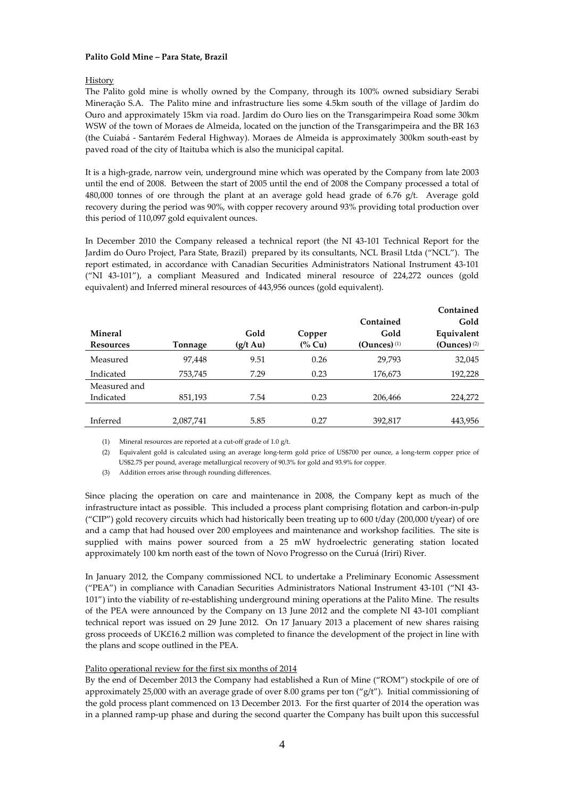# **Palito Gold Mine – Para State, Brazil**

# History

The Palito gold mine is wholly owned by the Company, through its 100% owned subsidiary Serabi Mineraçăo S.A. The Palito mine and infrastructure lies some 4.5km south of the village of Jardim do Ouro and approximately 15km via road. Jardim do Ouro lies on the Transgarimpeira Road some 30km WSW of the town of Moraes de Almeida, located on the junction of the Transgarimpeira and the BR 163 (the Cuiabá - Santarém Federal Highway). Moraes de Almeida is approximately 300km south-east by paved road of the city of Itaituba which is also the municipal capital.

It is a high-grade, narrow vein, underground mine which was operated by the Company from late 2003 until the end of 2008. Between the start of 2005 until the end of 2008 the Company processed a total of 480,000 tonnes of ore through the plant at an average gold head grade of  $6.76$  g/t. Average gold recovery during the period was 90%, with copper recovery around 93% providing total production over this period of 110,097 gold equivalent ounces.

In December 2010 the Company released a technical report (the NI 43-101 Technical Report for the Jardim do Ouro Project, Para State, Brazil) prepared by its consultants, NCL Brasil Ltda ("NCL"). The report estimated, in accordance with Canadian Securities Administrators National Instrument 43-101 ("NI 43-101"), a compliant Measured and Indicated mineral resource of 224,272 ounces (gold equivalent) and Inferred mineral resources of 443,956 ounces (gold equivalent).

|                  |           |                    |           |                | Contained        |
|------------------|-----------|--------------------|-----------|----------------|------------------|
|                  |           |                    |           | Contained      | Gold             |
| <b>Mineral</b>   |           | Gold               | Copper    | Gold           | Equivalent       |
| <b>Resources</b> | Tonnage   | $(g/t \text{ Au})$ | $(\%$ Cu) | (Ounces) $(1)$ | $(Qunces)^{(2)}$ |
| Measured         | 97,448    | 9.51               | 0.26      | 29,793         | 32,045           |
| Indicated        | 753,745   | 7.29               | 0.23      | 176,673        | 192,228          |
| Measured and     |           |                    |           |                |                  |
| Indicated        | 851,193   | 7.54               | 0.23      | 206,466        | 224,272          |
|                  |           |                    |           |                |                  |
| Inferred         | 2,087,741 | 5.85               | 0.27      | 392,817        | 443,956          |
|                  |           |                    |           |                |                  |

(1) Mineral resources are reported at a cut-off grade of 1.0 g/t.

(2) Equivalent gold is calculated using an average long-term gold price of US\$700 per ounce, a long-term copper price of US\$2.75 per pound, average metallurgical recovery of 90.3% for gold and 93.9% for copper.

(3) Addition errors arise through rounding differences.

Since placing the operation on care and maintenance in 2008, the Company kept as much of the infrastructure intact as possible. This included a process plant comprising flotation and carbon-in-pulp ("CIP") gold recovery circuits which had historically been treating up to 600 t/day (200,000 t/year) of ore and a camp that had housed over 200 employees and maintenance and workshop facilities. The site is supplied with mains power sourced from a 25 mW hydroelectric generating station located approximately 100 km north east of the town of Novo Progresso on the Curuá (Iriri) River.

In January 2012, the Company commissioned NCL to undertake a Preliminary Economic Assessment ("PEA") in compliance with Canadian Securities Administrators National Instrument 43-101 ("NI 43- 101") into the viability of re-establishing underground mining operations at the Palito Mine. The results of the PEA were announced by the Company on 13 June 2012 and the complete NI 43-101 compliant technical report was issued on 29 June 2012. On 17 January 2013 a placement of new shares raising gross proceeds of UK£16.2 million was completed to finance the development of the project in line with the plans and scope outlined in the PEA.

# Palito operational review for the first six months of 2014

By the end of December 2013 the Company had established a Run of Mine ("ROM") stockpile of ore of approximately 25,000 with an average grade of over 8.00 grams per ton ("g/t"). Initial commissioning of the gold process plant commenced on 13 December 2013. For the first quarter of 2014 the operation was in a planned ramp-up phase and during the second quarter the Company has built upon this successful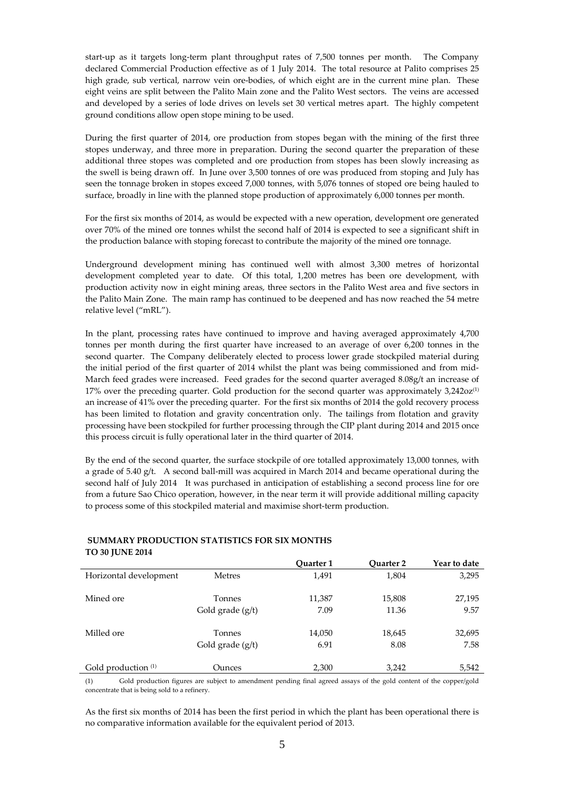start-up as it targets long-term plant throughput rates of 7,500 tonnes per month. The Company declared Commercial Production effective as of 1 July 2014. The total resource at Palito comprises 25 high grade, sub vertical, narrow vein ore-bodies, of which eight are in the current mine plan. These eight veins are split between the Palito Main zone and the Palito West sectors. The veins are accessed and developed by a series of lode drives on levels set 30 vertical metres apart. The highly competent ground conditions allow open stope mining to be used.

During the first quarter of 2014, ore production from stopes began with the mining of the first three stopes underway, and three more in preparation. During the second quarter the preparation of these additional three stopes was completed and ore production from stopes has been slowly increasing as the swell is being drawn off. In June over 3,500 tonnes of ore was produced from stoping and July has seen the tonnage broken in stopes exceed 7,000 tonnes, with 5,076 tonnes of stoped ore being hauled to surface, broadly in line with the planned stope production of approximately 6,000 tonnes per month.

For the first six months of 2014, as would be expected with a new operation, development ore generated over 70% of the mined ore tonnes whilst the second half of 2014 is expected to see a significant shift in the production balance with stoping forecast to contribute the majority of the mined ore tonnage.

Underground development mining has continued well with almost 3,300 metres of horizontal development completed year to date. Of this total, 1,200 metres has been ore development, with production activity now in eight mining areas, three sectors in the Palito West area and five sectors in the Palito Main Zone. The main ramp has continued to be deepened and has now reached the 54 metre relative level ("mRL").

In the plant, processing rates have continued to improve and having averaged approximately 4,700 tonnes per month during the first quarter have increased to an average of over 6,200 tonnes in the second quarter. The Company deliberately elected to process lower grade stockpiled material during the initial period of the first quarter of 2014 whilst the plant was being commissioned and from mid-March feed grades were increased. Feed grades for the second quarter averaged 8.08g/t an increase of  $17\%$  over the preceding quarter. Gold production for the second quarter was approximately 3,242oz<sup>(1)</sup> an increase of 41% over the preceding quarter. For the first six months of 2014 the gold recovery process has been limited to flotation and gravity concentration only. The tailings from flotation and gravity processing have been stockpiled for further processing through the CIP plant during 2014 and 2015 once this process circuit is fully operational later in the third quarter of 2014.

By the end of the second quarter, the surface stockpile of ore totalled approximately 13,000 tonnes, with a grade of 5.40 g/t. A second ball-mill was acquired in March 2014 and became operational during the second half of July 2014 It was purchased in anticipation of establishing a second process line for ore from a future Sao Chico operation, however, in the near term it will provide additional milling capacity to process some of this stockpiled material and maximise short-term production.

# **SUMMARY PRODUCTION STATISTICS FOR SIX MONTHS TO 30 JUNE 2014**

|                        |                    | Ouarter 1 | <b>Ouarter 2</b> | Year to date |
|------------------------|--------------------|-----------|------------------|--------------|
| Horizontal development | <b>Metres</b>      | 1,491     | 1,804            | 3,295        |
| Mined ore              | Tonnes             | 11,387    | 15,808           | 27,195       |
|                        | Gold grade $(g/t)$ | 7.09      | 11.36            | 9.57         |
| Milled ore             | Tonnes             | 14,050    | 18,645           | 32,695       |
|                        | Gold grade $(g/t)$ | 6.91      | 8.08             | 7.58         |
| Gold production (1)    | Ounces             | 2,300     | 3,242            | 5,542        |

(1) Gold production figures are subject to amendment pending final agreed assays of the gold content of the copper/gold concentrate that is being sold to a refinery.

As the first six months of 2014 has been the first period in which the plant has been operational there is no comparative information available for the equivalent period of 2013.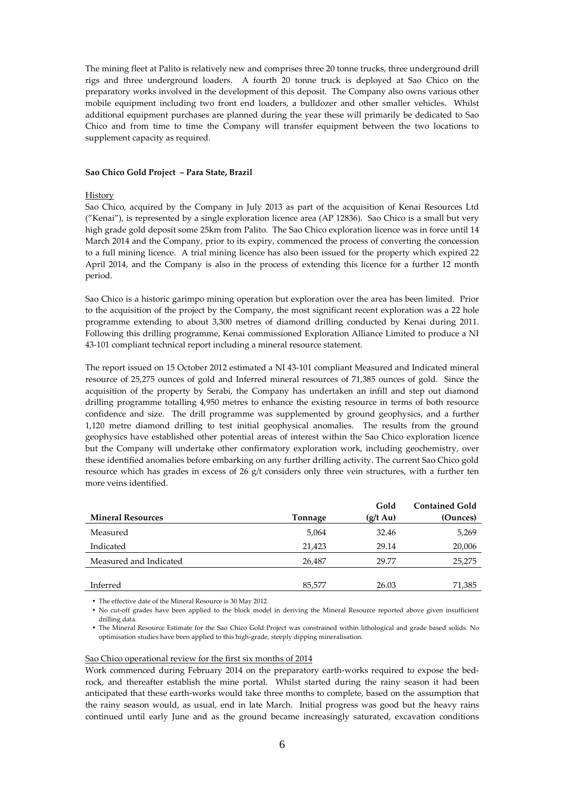The mining fleet at Palito is relatively new and comprises three 20 tonne trucks, three underground drill rigs and three underground loaders. A fourth 20 tonne truck is deployed at Sao Chico on the preparatory works involved in the development of this deposit. The Company also owns various other mobile equipment including two front end loaders, a bulldozer and other smaller vehicles. Whilst additional equipment purchases are planned during the year these will primarily be dedicated to Sao Chico and from time to time the Company will transfer equipment between the two locations to supplement capacity as required.

#### **Sao Chico Gold Project – Para State, Brazil**

#### History

Sao Chico, acquired by the Company in July 2013 as part of the acquisition of Kenai Resources Ltd ("Kenai"), is represented by a single exploration licence area (AP 12836). Sao Chico is a small but very high grade gold deposit some 25km from Palito. The Sao Chico exploration licence was in force until 14 March 2014 and the Company, prior to its expiry, commenced the process of converting the concession to a full mining licence. A trial mining licence has also been issued for the property which expired 22 April 2014, and the Company is also in the process of extending this licence for a further 12 month period.

Sao Chico is a historic garimpo mining operation but exploration over the area has been limited. Prior to the acquisition of the project by the Company, the most significant recent exploration was a 22 hole programme extending to about 3,300 metres of diamond drilling conducted by Kenai during 2011. Following this drilling programme, Kenai commissioned Exploration Alliance Limited to produce a NI 43-101 compliant technical report including a mineral resource statement.

The report issued on 15 October 2012 estimated a NI 43-101 compliant Measured and Indicated mineral resource of 25,275 ounces of gold and Inferred mineral resources of 71,385 ounces of gold. Since the acquisition of the property by Serabi, the Company has undertaken an infill and step out diamond drilling programme totalling 4,950 metres to enhance the existing resource in terms of both resource confidence and size. The drill programme was supplemented by ground geophysics, and a further 1,120 metre diamond drilling to test initial geophysical anomalies. The results from the ground geophysics have established other potential areas of interest within the Sao Chico exploration licence but the Company will undertake other confirmatory exploration work, including geochemistry, over these identified anomalies before embarking on any further drilling activity. The current Sao Chico gold resource which has grades in excess of 26 g/t considers only three vein structures, with a further ten more veins identified.

|                          |         | Gold               | <b>Contained Gold</b> |
|--------------------------|---------|--------------------|-----------------------|
| <b>Mineral Resources</b> | Tonnage | $(g/t \text{ Au})$ | (Ounces)              |
| Measured                 | 5,064   | 32.46              | 5,269                 |
| Indicated                | 21,423  | 29.14              | 20,006                |
| Measured and Indicated   | 26.487  | 29.77              | 25,275                |
|                          |         |                    |                       |
| Inferred                 | 85,577  | 26.03              | 71,385                |

• The effective date of the Mineral Resource is 30 May 2012.

• No cut-off grades have been applied to the block model in deriving the Mineral Resource reported above given insufficient drilling data.

• The Mineral Resource Estimate for the Sao Chico Gold Project was constrained within lithological and grade based solids. No optimisation studies have been applied to this high-grade, steeply dipping mineralisation.

#### Sao Chico operational review for the first six months of 2014

Work commenced during February 2014 on the preparatory earth-works required to expose the bedrock, and thereafter establish the mine portal. Whilst started during the rainy season it had been anticipated that these earth-works would take three months to complete, based on the assumption that the rainy season would, as usual, end in late March. Initial progress was good but the heavy rains continued until early June and as the ground became increasingly saturated, excavation conditions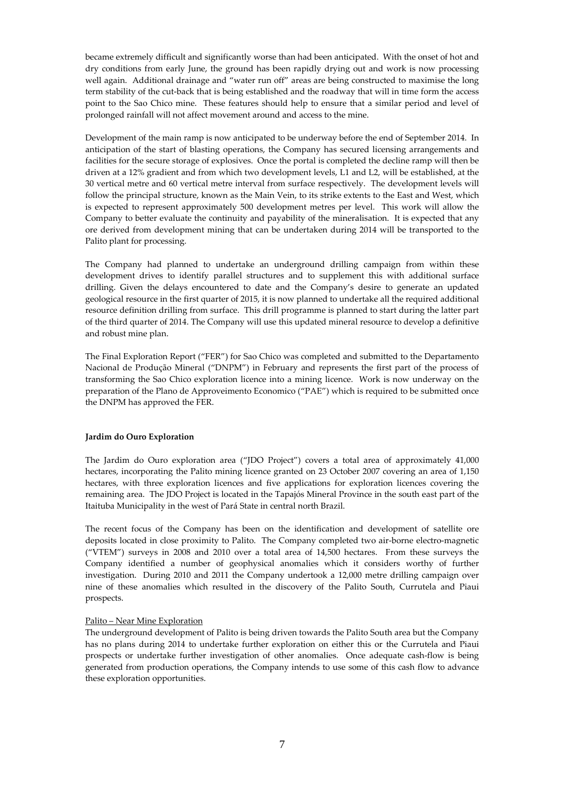became extremely difficult and significantly worse than had been anticipated. With the onset of hot and dry conditions from early June, the ground has been rapidly drying out and work is now processing well again. Additional drainage and "water run off" areas are being constructed to maximise the long term stability of the cut-back that is being established and the roadway that will in time form the access point to the Sao Chico mine. These features should help to ensure that a similar period and level of prolonged rainfall will not affect movement around and access to the mine.

Development of the main ramp is now anticipated to be underway before the end of September 2014. In anticipation of the start of blasting operations, the Company has secured licensing arrangements and facilities for the secure storage of explosives. Once the portal is completed the decline ramp will then be driven at a 12% gradient and from which two development levels, L1 and L2, will be established, at the 30 vertical metre and 60 vertical metre interval from surface respectively. The development levels will follow the principal structure, known as the Main Vein, to its strike extents to the East and West, which is expected to represent approximately 500 development metres per level. This work will allow the Company to better evaluate the continuity and payability of the mineralisation. It is expected that any ore derived from development mining that can be undertaken during 2014 will be transported to the Palito plant for processing.

The Company had planned to undertake an underground drilling campaign from within these development drives to identify parallel structures and to supplement this with additional surface drilling. Given the delays encountered to date and the Company's desire to generate an updated geological resource in the first quarter of 2015, it is now planned to undertake all the required additional resource definition drilling from surface. This drill programme is planned to start during the latter part of the third quarter of 2014. The Company will use this updated mineral resource to develop a definitive and robust mine plan.

The Final Exploration Report ("FER") for Sao Chico was completed and submitted to the Departamento Nacional de Produção Mineral ("DNPM") in February and represents the first part of the process of transforming the Sao Chico exploration licence into a mining licence. Work is now underway on the preparation of the Plano de Approveimento Economico ("PAE") which is required to be submitted once the DNPM has approved the FER.

# **Jardim do Ouro Exploration**

The Jardim do Ouro exploration area ("JDO Project") covers a total area of approximately 41,000 hectares, incorporating the Palito mining licence granted on 23 October 2007 covering an area of 1,150 hectares, with three exploration licences and five applications for exploration licences covering the remaining area. The JDO Project is located in the Tapajós Mineral Province in the south east part of the Itaituba Municipality in the west of Pará State in central north Brazil.

The recent focus of the Company has been on the identification and development of satellite ore deposits located in close proximity to Palito. The Company completed two air-borne electro-magnetic ("VTEM") surveys in 2008 and 2010 over a total area of 14,500 hectares. From these surveys the Company identified a number of geophysical anomalies which it considers worthy of further investigation. During 2010 and 2011 the Company undertook a 12,000 metre drilling campaign over nine of these anomalies which resulted in the discovery of the Palito South, Currutela and Piaui prospects.

#### Palito – Near Mine Exploration

The underground development of Palito is being driven towards the Palito South area but the Company has no plans during 2014 to undertake further exploration on either this or the Currutela and Piaui prospects or undertake further investigation of other anomalies. Once adequate cash-flow is being generated from production operations, the Company intends to use some of this cash flow to advance these exploration opportunities.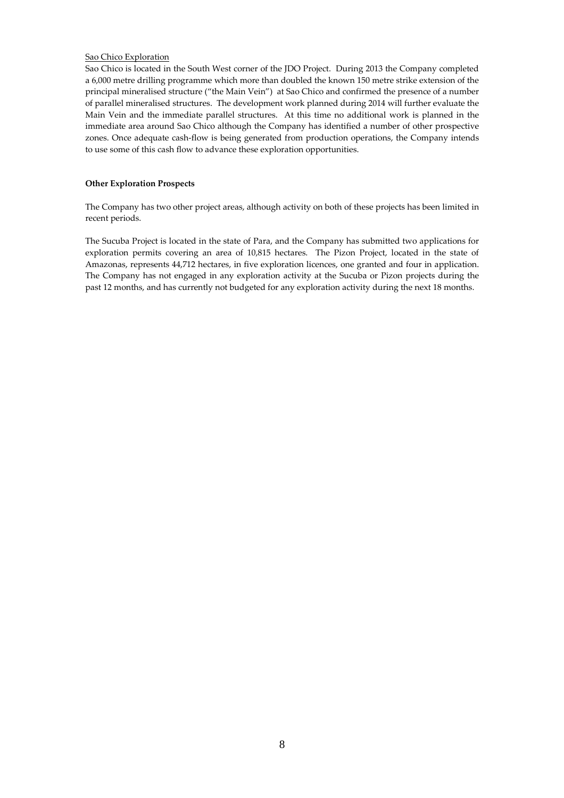# Sao Chico Exploration

Sao Chico is located in the South West corner of the JDO Project. During 2013 the Company completed a 6,000 metre drilling programme which more than doubled the known 150 metre strike extension of the principal mineralised structure ("the Main Vein") at Sao Chico and confirmed the presence of a number of parallel mineralised structures. The development work planned during 2014 will further evaluate the Main Vein and the immediate parallel structures. At this time no additional work is planned in the immediate area around Sao Chico although the Company has identified a number of other prospective zones. Once adequate cash-flow is being generated from production operations, the Company intends to use some of this cash flow to advance these exploration opportunities.

# **Other Exploration Prospects**

The Company has two other project areas, although activity on both of these projects has been limited in recent periods.

The Sucuba Project is located in the state of Para, and the Company has submitted two applications for exploration permits covering an area of 10,815 hectares. The Pizon Project, located in the state of Amazonas, represents 44,712 hectares, in five exploration licences, one granted and four in application. The Company has not engaged in any exploration activity at the Sucuba or Pizon projects during the past 12 months, and has currently not budgeted for any exploration activity during the next 18 months.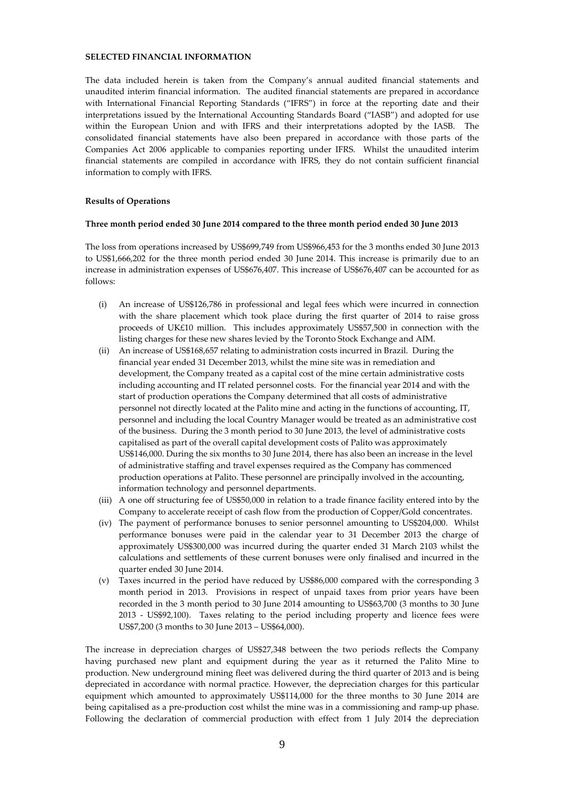# **SELECTED FINANCIAL INFORMATION**

The data included herein is taken from the Company's annual audited financial statements and unaudited interim financial information. The audited financial statements are prepared in accordance with International Financial Reporting Standards ("IFRS") in force at the reporting date and their interpretations issued by the International Accounting Standards Board ("IASB") and adopted for use within the European Union and with IFRS and their interpretations adopted by the IASB. The consolidated financial statements have also been prepared in accordance with those parts of the Companies Act 2006 applicable to companies reporting under IFRS. Whilst the unaudited interim financial statements are compiled in accordance with IFRS, they do not contain sufficient financial information to comply with IFRS.

#### **Results of Operations**

#### **Three month period ended 30 June 2014 compared to the three month period ended 30 June 2013**

The loss from operations increased by US\$699,749 from US\$966,453 for the 3 months ended 30 June 2013 to US\$1,666,202 for the three month period ended 30 June 2014. This increase is primarily due to an increase in administration expenses of US\$676,407. This increase of US\$676,407 can be accounted for as follows:

- (i) An increase of US\$126,786 in professional and legal fees which were incurred in connection with the share placement which took place during the first quarter of 2014 to raise gross proceeds of UK£10 million. This includes approximately US\$57,500 in connection with the listing charges for these new shares levied by the Toronto Stock Exchange and AIM.
- (ii) An increase of US\$168,657 relating to administration costs incurred in Brazil. During the financial year ended 31 December 2013, whilst the mine site was in remediation and development, the Company treated as a capital cost of the mine certain administrative costs including accounting and IT related personnel costs. For the financial year 2014 and with the start of production operations the Company determined that all costs of administrative personnel not directly located at the Palito mine and acting in the functions of accounting, IT, personnel and including the local Country Manager would be treated as an administrative cost of the business. During the 3 month period to 30 June 2013, the level of administrative costs capitalised as part of the overall capital development costs of Palito was approximately US\$146,000. During the six months to 30 June 2014, there has also been an increase in the level of administrative staffing and travel expenses required as the Company has commenced production operations at Palito. These personnel are principally involved in the accounting, information technology and personnel departments.
- (iii) A one off structuring fee of US\$50,000 in relation to a trade finance facility entered into by the Company to accelerate receipt of cash flow from the production of Copper/Gold concentrates.
- (iv) The payment of performance bonuses to senior personnel amounting to US\$204,000. Whilst performance bonuses were paid in the calendar year to 31 December 2013 the charge of approximately US\$300,000 was incurred during the quarter ended 31 March 2103 whilst the calculations and settlements of these current bonuses were only finalised and incurred in the quarter ended 30 June 2014.
- (v) Taxes incurred in the period have reduced by US\$86,000 compared with the corresponding 3 month period in 2013. Provisions in respect of unpaid taxes from prior years have been recorded in the 3 month period to 30 June 2014 amounting to US\$63,700 (3 months to 30 June 2013 - US\$92,100). Taxes relating to the period including property and licence fees were US\$7,200 (3 months to 30 June 2013 – US\$64,000).

The increase in depreciation charges of US\$27,348 between the two periods reflects the Company having purchased new plant and equipment during the year as it returned the Palito Mine to production. New underground mining fleet was delivered during the third quarter of 2013 and is being depreciated in accordance with normal practice. However, the depreciation charges for this particular equipment which amounted to approximately US\$114,000 for the three months to 30 June 2014 are being capitalised as a pre-production cost whilst the mine was in a commissioning and ramp-up phase. Following the declaration of commercial production with effect from 1 July 2014 the depreciation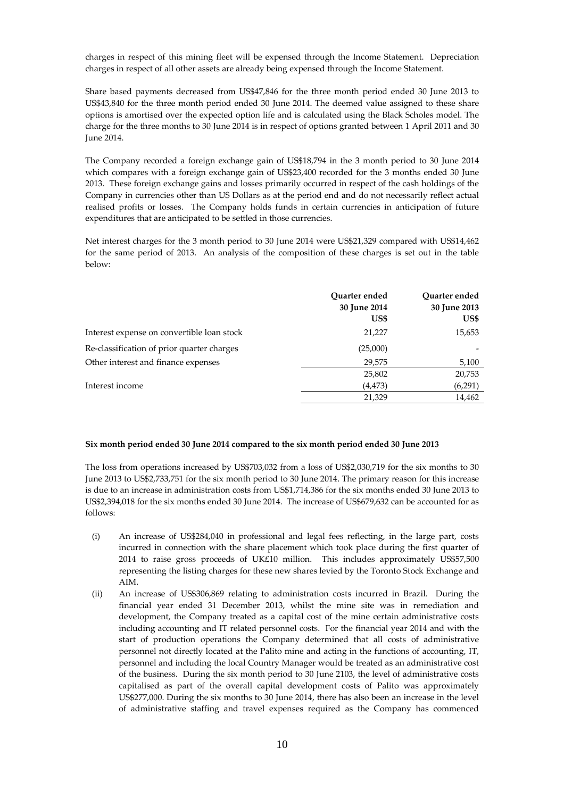charges in respect of this mining fleet will be expensed through the Income Statement. Depreciation charges in respect of all other assets are already being expensed through the Income Statement.

Share based payments decreased from US\$47,846 for the three month period ended 30 June 2013 to US\$43,840 for the three month period ended 30 June 2014. The deemed value assigned to these share options is amortised over the expected option life and is calculated using the Black Scholes model. The charge for the three months to 30 June 2014 is in respect of options granted between 1 April 2011 and 30 June 2014.

The Company recorded a foreign exchange gain of US\$18,794 in the 3 month period to 30 June 2014 which compares with a foreign exchange gain of US\$23,400 recorded for the 3 months ended 30 June 2013. These foreign exchange gains and losses primarily occurred in respect of the cash holdings of the Company in currencies other than US Dollars as at the period end and do not necessarily reflect actual realised profits or losses. The Company holds funds in certain currencies in anticipation of future expenditures that are anticipated to be settled in those currencies.

Net interest charges for the 3 month period to 30 June 2014 were US\$21,329 compared with US\$14,462 for the same period of 2013. An analysis of the composition of these charges is set out in the table below:

|                                            | Ouarter ended<br>30 June 2014<br>US\$ | Ouarter ended<br>30 June 2013<br>US\$ |
|--------------------------------------------|---------------------------------------|---------------------------------------|
| Interest expense on convertible loan stock | 21,227                                | 15,653                                |
| Re-classification of prior quarter charges | (25,000)                              |                                       |
| Other interest and finance expenses        | 29,575                                | 5,100                                 |
|                                            | 25,802                                | 20,753                                |
| Interest income                            | (4, 473)                              | (6,291)                               |
|                                            | 21,329                                | 14,462                                |

#### **Six month period ended 30 June 2014 compared to the six month period ended 30 June 2013**

The loss from operations increased by US\$703,032 from a loss of US\$2,030,719 for the six months to 30 June 2013 to US\$2,733,751 for the six month period to 30 June 2014. The primary reason for this increase is due to an increase in administration costs from US\$1,714,386 for the six months ended 30 June 2013 to US\$2,394,018 for the six months ended 30 June 2014. The increase of US\$679,632 can be accounted for as follows:

- (i) An increase of US\$284,040 in professional and legal fees reflecting, in the large part, costs incurred in connection with the share placement which took place during the first quarter of 2014 to raise gross proceeds of UK£10 million. This includes approximately US\$57,500 representing the listing charges for these new shares levied by the Toronto Stock Exchange and AIM.
- (ii) An increase of US\$306,869 relating to administration costs incurred in Brazil. During the financial year ended 31 December 2013, whilst the mine site was in remediation and development, the Company treated as a capital cost of the mine certain administrative costs including accounting and IT related personnel costs. For the financial year 2014 and with the start of production operations the Company determined that all costs of administrative personnel not directly located at the Palito mine and acting in the functions of accounting, IT, personnel and including the local Country Manager would be treated as an administrative cost of the business. During the six month period to 30 June 2103, the level of administrative costs capitalised as part of the overall capital development costs of Palito was approximately US\$277,000. During the six months to 30 June 2014, there has also been an increase in the level of administrative staffing and travel expenses required as the Company has commenced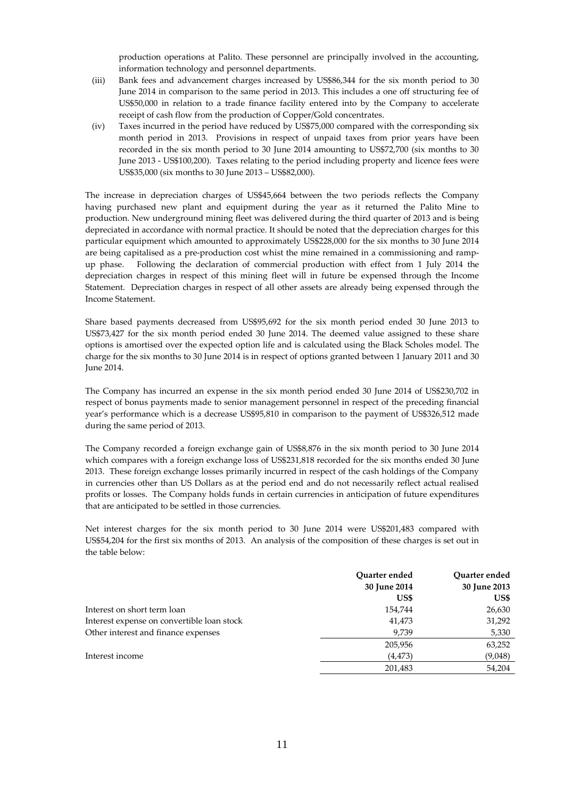production operations at Palito. These personnel are principally involved in the accounting, information technology and personnel departments.

- (iii) Bank fees and advancement charges increased by US\$86,344 for the six month period to 30 June 2014 in comparison to the same period in 2013. This includes a one off structuring fee of US\$50,000 in relation to a trade finance facility entered into by the Company to accelerate receipt of cash flow from the production of Copper/Gold concentrates.
- (iv) Taxes incurred in the period have reduced by US\$75,000 compared with the corresponding six month period in 2013. Provisions in respect of unpaid taxes from prior years have been recorded in the six month period to 30 June 2014 amounting to US\$72,700 (six months to 30 June 2013 - US\$100,200). Taxes relating to the period including property and licence fees were US\$35,000 (six months to 30 June 2013 – US\$82,000).

The increase in depreciation charges of US\$45,664 between the two periods reflects the Company having purchased new plant and equipment during the year as it returned the Palito Mine to production. New underground mining fleet was delivered during the third quarter of 2013 and is being depreciated in accordance with normal practice. It should be noted that the depreciation charges for this particular equipment which amounted to approximately US\$228,000 for the six months to 30 June 2014 are being capitalised as a pre-production cost whist the mine remained in a commissioning and rampup phase. Following the declaration of commercial production with effect from 1 July 2014 the depreciation charges in respect of this mining fleet will in future be expensed through the Income Statement. Depreciation charges in respect of all other assets are already being expensed through the Income Statement.

Share based payments decreased from US\$95,692 for the six month period ended 30 June 2013 to US\$73,427 for the six month period ended 30 June 2014. The deemed value assigned to these share options is amortised over the expected option life and is calculated using the Black Scholes model. The charge for the six months to 30 June 2014 is in respect of options granted between 1 January 2011 and 30 June 2014.

The Company has incurred an expense in the six month period ended 30 June 2014 of US\$230,702 in respect of bonus payments made to senior management personnel in respect of the preceding financial year's performance which is a decrease US\$95,810 in comparison to the payment of US\$326,512 made during the same period of 2013.

The Company recorded a foreign exchange gain of US\$8,876 in the six month period to 30 June 2014 which compares with a foreign exchange loss of US\$231,818 recorded for the six months ended 30 June 2013. These foreign exchange losses primarily incurred in respect of the cash holdings of the Company in currencies other than US Dollars as at the period end and do not necessarily reflect actual realised profits or losses. The Company holds funds in certain currencies in anticipation of future expenditures that are anticipated to be settled in those currencies.

Net interest charges for the six month period to 30 June 2014 were US\$201,483 compared with US\$54,204 for the first six months of 2013. An analysis of the composition of these charges is set out in the table below:

|                                            | Quarter ended | Quarter ended |
|--------------------------------------------|---------------|---------------|
|                                            | 30 June 2014  | 30 June 2013  |
|                                            | US\$          | US\$          |
| Interest on short term loan                | 154,744       | 26,630        |
| Interest expense on convertible loan stock | 41,473        | 31,292        |
| Other interest and finance expenses        | 9,739         | 5,330         |
|                                            | 205,956       | 63,252        |
| Interest income                            | (4, 473)      | (9,048)       |
|                                            | 201,483       | 54,204        |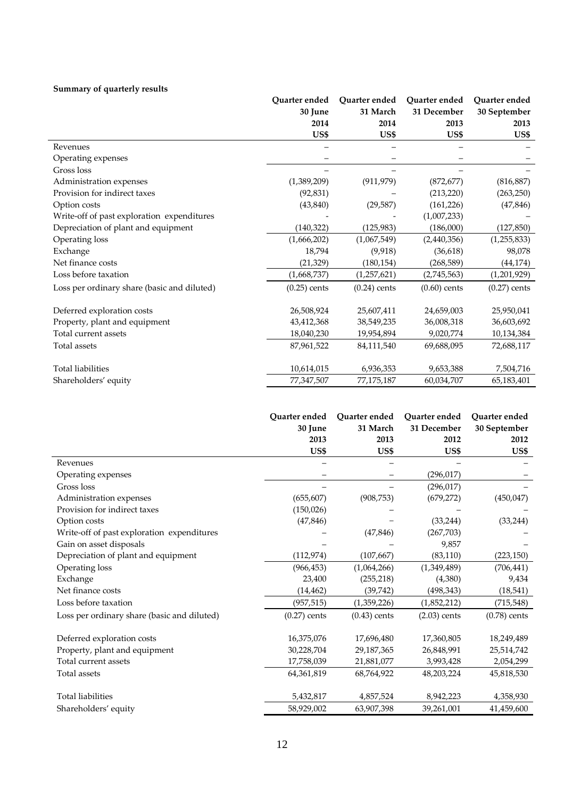# **Summary of quarterly results**

|                                             | Ouarter ended  | Quarter ended  | Quarter ended  | Ouarter ended  |
|---------------------------------------------|----------------|----------------|----------------|----------------|
|                                             | 30 June        | 31 March       | 31 December    | 30 September   |
|                                             | 2014           | 2014           | 2013           | 2013           |
|                                             | US\$           | US\$           | US\$           | US\$           |
| Revenues                                    |                |                |                |                |
| Operating expenses                          |                |                |                |                |
| Gross loss                                  |                |                |                |                |
| Administration expenses                     | (1,389,209)    | (911, 979)     | (872, 677)     | (816, 887)     |
| Provision for indirect taxes                | (92, 831)      |                | (213, 220)     | (263, 250)     |
| Option costs                                | (43, 840)      | (29, 587)      | (161, 226)     | (47, 846)      |
| Write-off of past exploration expenditures  |                |                | (1,007,233)    |                |
| Depreciation of plant and equipment         | (140, 322)     | (125, 983)     | (186,000)      | (127, 850)     |
| Operating loss                              | (1,666,202)    | (1,067,549)    | (2,440,356)    | (1, 255, 833)  |
| Exchange                                    | 18,794         | (9,918)        | (36, 618)      | 98,078         |
| Net finance costs                           | (21, 329)      | (180, 154)     | (268, 589)     | (44, 174)      |
| Loss before taxation                        | (1,668,737)    | (1, 257, 621)  | (2,745,563)    | (1,201,929)    |
| Loss per ordinary share (basic and diluted) | $(0.25)$ cents | $(0.24)$ cents | $(0.60)$ cents | $(0.27)$ cents |
| Deferred exploration costs                  | 26,508,924     | 25,607,411     | 24,659,003     | 25,950,041     |
| Property, plant and equipment               | 43,412,368     | 38,549,235     | 36,008,318     | 36,603,692     |
| Total current assets                        | 18,040,230     | 19,954,894     | 9,020,774      | 10,134,384     |
| Total assets                                | 87,961,522     | 84,111,540     | 69,688,095     | 72,688,117     |
| <b>Total liabilities</b>                    | 10,614,015     | 6,936,353      | 9,653,388      | 7,504,716      |
| Shareholders' equity                        | 77,347,507     | 77,175,187     | 60,034,707     | 65,183,401     |

|                                             | Ouarter ended  | Ouarter ended  | Quarter ended  | Quarter ended  |
|---------------------------------------------|----------------|----------------|----------------|----------------|
|                                             | 30 June        | 31 March       | 31 December    | 30 September   |
|                                             | 2013           | 2013           | 2012           | 2012           |
|                                             | US\$           | US\$           | US\$           | US\$           |
| Revenues                                    |                |                |                |                |
| Operating expenses                          |                |                | (296, 017)     |                |
| Gross loss                                  |                |                | (296, 017)     |                |
| Administration expenses                     | (655, 607)     | (908, 753)     | (679, 272)     | (450, 047)     |
| Provision for indirect taxes                | (150, 026)     |                |                |                |
| Option costs                                | (47, 846)      |                | (33, 244)      | (33, 244)      |
| Write-off of past exploration expenditures  |                | (47, 846)      | (267, 703)     |                |
| Gain on asset disposals                     |                |                | 9,857          |                |
| Depreciation of plant and equipment         | (112, 974)     | (107, 667)     | (83, 110)      | (223, 150)     |
| Operating loss                              | (966, 453)     | (1,064,266)    | (1,349,489)    | (706, 441)     |
| Exchange                                    | 23,400         | (255, 218)     | (4,380)        | 9,434          |
| Net finance costs                           | (14, 462)      | (39, 742)      | (498, 343)     | (18, 541)      |
| Loss before taxation                        | (957, 515)     | (1,359,226)    | (1,852,212)    | (715, 548)     |
| Loss per ordinary share (basic and diluted) | $(0.27)$ cents | $(0.43)$ cents | $(2.03)$ cents | $(0.78)$ cents |
| Deferred exploration costs                  | 16,375,076     | 17,696,480     | 17,360,805     | 18,249,489     |
| Property, plant and equipment               | 30,228,704     | 29,187,365     | 26,848,991     | 25,514,742     |
| Total current assets                        | 17,758,039     | 21,881,077     | 3,993,428      | 2,054,299      |
| Total assets                                | 64,361,819     | 68,764,922     | 48,203,224     | 45,818,530     |
| <b>Total liabilities</b>                    | 5,432,817      | 4,857,524      | 8,942,223      | 4,358,930      |
| Shareholders' equity                        | 58,929,002     | 63,907,398     | 39,261,001     | 41,459,600     |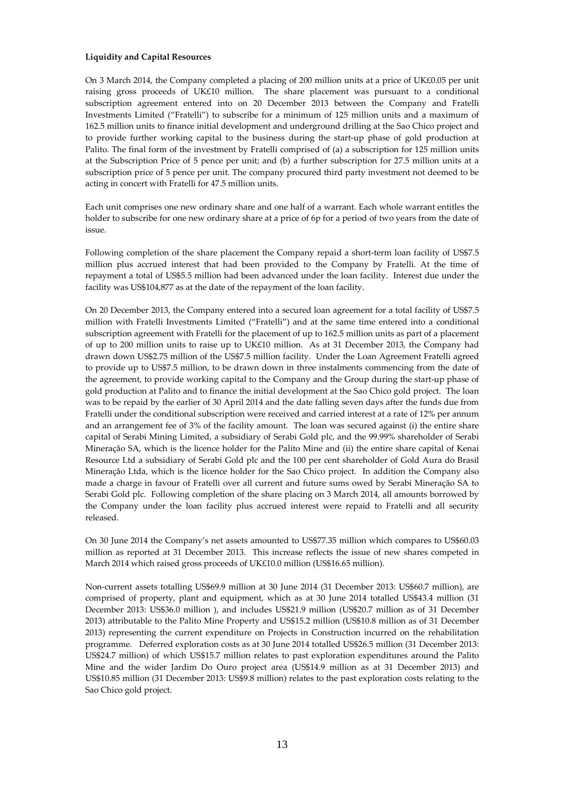### **Liquidity and Capital Resources**

On 3 March 2014, the Company completed a placing of 200 million units at a price of UK£0.05 per unit raising gross proceeds of UK£10 million. The share placement was pursuant to a conditional subscription agreement entered into on 20 December 2013 between the Company and Fratelli Investments Limited ("Fratelli") to subscribe for a minimum of 125 million units and a maximum of 162.5 million units to finance initial development and underground drilling at the Sao Chico project and to provide further working capital to the business during the start-up phase of gold production at Palito. The final form of the investment by Fratelli comprised of (a) a subscription for 125 million units at the Subscription Price of 5 pence per unit; and (b) a further subscription for 27.5 million units at a subscription price of 5 pence per unit. The company procured third party investment not deemed to be acting in concert with Fratelli for 47.5 million units.

Each unit comprises one new ordinary share and one half of a warrant. Each whole warrant entitles the holder to subscribe for one new ordinary share at a price of 6p for a period of two years from the date of issue.

Following completion of the share placement the Company repaid a short-term loan facility of US\$7.5 million plus accrued interest that had been provided to the Company by Fratelli. At the time of repayment a total of US\$5.5 million had been advanced under the loan facility. Interest due under the facility was US\$104,877 as at the date of the repayment of the loan facility.

On 20 December 2013, the Company entered into a secured loan agreement for a total facility of US\$7.5 million with Fratelli Investments Limited ("Fratelli") and at the same time entered into a conditional subscription agreement with Fratelli for the placement of up to 162.5 million units as part of a placement of up to 200 million units to raise up to UK£10 million. As at 31 December 2013, the Company had drawn down US\$2.75 million of the US\$7.5 million facility. Under the Loan Agreement Fratelli agreed to provide up to US\$7.5 million, to be drawn down in three instalments commencing from the date of the agreement, to provide working capital to the Company and the Group during the start-up phase of gold production at Palito and to finance the initial development at the Sao Chico gold project. The loan was to be repaid by the earlier of 30 April 2014 and the date falling seven days after the funds due from Fratelli under the conditional subscription were received and carried interest at a rate of 12% per annum and an arrangement fee of 3% of the facility amount. The loan was secured against (i) the entire share capital of Serabi Mining Limited, a subsidiary of Serabi Gold plc, and the 99.99% shareholder of Serabi Mineraçăo SA, which is the licence holder for the Palito Mine and (ii) the entire share capital of Kenai Resource Ltd a subsidiary of Serabi Gold plc and the 100 per cent shareholder of Gold Aura do Brasil Mineraçăo Ltda, which is the licence holder for the Sao Chico project. In addition the Company also made a charge in favour of Fratelli over all current and future sums owed by Serabi Mineraçăo SA to Serabi Gold plc. Following completion of the share placing on 3 March 2014, all amounts borrowed by the Company under the loan facility plus accrued interest were repaid to Fratelli and all security released.

On 30 June 2014 the Company's net assets amounted to US\$77.35 million which compares to US\$60.03 million as reported at 31 December 2013. This increase reflects the issue of new shares competed in March 2014 which raised gross proceeds of UK£10.0 million (US\$16.65 million).

Non-current assets totalling US\$69.9 million at 30 June 2014 (31 December 2013: US\$60.7 million), are comprised of property, plant and equipment, which as at 30 June 2014 totalled US\$43.4 million (31 December 2013: US\$36.0 million ), and includes US\$21.9 million (US\$20.7 million as of 31 December 2013) attributable to the Palito Mine Property and US\$15.2 million (US\$10.8 million as of 31 December 2013) representing the current expenditure on Projects in Construction incurred on the rehabilitation programme. Deferred exploration costs as at 30 June 2014 totalled US\$26.5 million (31 December 2013: US\$24.7 million) of which US\$15.7 million relates to past exploration expenditures around the Palito Mine and the wider Jardim Do Ouro project area (US\$14.9 million as at 31 December 2013) and US\$10.85 million (31 December 2013: US\$9.8 million) relates to the past exploration costs relating to the Sao Chico gold project.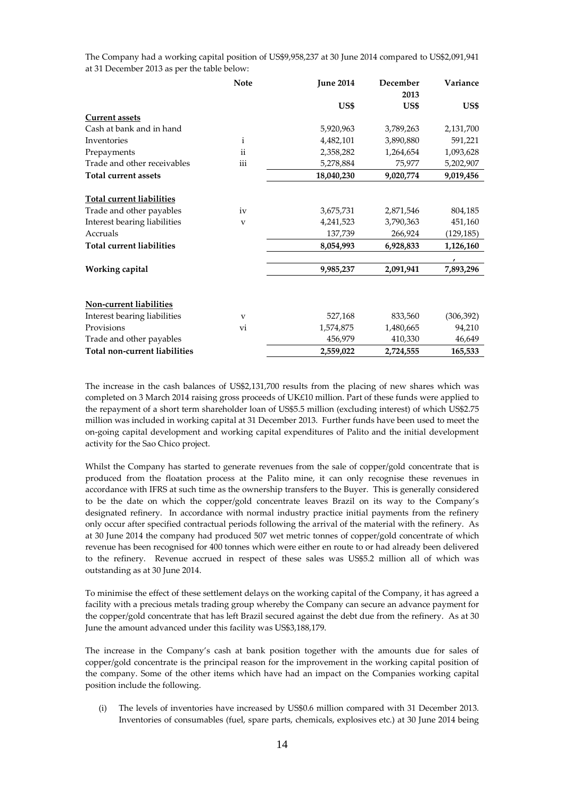| 2013<br>US\$<br>US\$<br><b>Current assets</b><br>Cash at bank and in hand<br>5,920,963<br>3,789,263<br>Inventories<br>$\mathbf{i}$<br>4,482,101<br>3,890,880 | US\$<br>2,131,700<br>591,221<br>1,093,628 |
|--------------------------------------------------------------------------------------------------------------------------------------------------------------|-------------------------------------------|
|                                                                                                                                                              |                                           |
|                                                                                                                                                              |                                           |
|                                                                                                                                                              |                                           |
|                                                                                                                                                              |                                           |
|                                                                                                                                                              |                                           |
| $\ddot{\rm ii}$<br>2,358,282<br>Prepayments<br>1,264,654                                                                                                     |                                           |
| iii<br>Trade and other receivables<br>75,977<br>5,278,884                                                                                                    | 5,202,907                                 |
| <b>Total current assets</b><br>18,040,230<br>9,020,774                                                                                                       | 9,019,456                                 |
|                                                                                                                                                              |                                           |
| Total current liabilities                                                                                                                                    |                                           |
| Trade and other payables<br>3,675,731<br>iv<br>2,871,546                                                                                                     | 804,185                                   |
| Interest bearing liabilities<br>4,241,523<br>3,790,363<br>$\overline{\mathbf{V}}$                                                                            | 451,160                                   |
| Accruals<br>137,739<br>266,924                                                                                                                               | (129,185)                                 |
| <b>Total current liabilities</b><br>6,928,833<br>8,054,993                                                                                                   | 1,126,160                                 |
| $\pmb{r}$                                                                                                                                                    |                                           |
| Working capital<br>9,985,237<br>2,091,941                                                                                                                    | 7,893,296                                 |
|                                                                                                                                                              |                                           |
| Non-current liabilities                                                                                                                                      |                                           |
| Interest bearing liabilities<br>527,168<br>833,560<br>$\mathbf{V}$                                                                                           | (306, 392)                                |
| Provisions<br>1,574,875<br>1,480,665<br>vi                                                                                                                   | 94,210                                    |
| Trade and other payables<br>410,330<br>456,979                                                                                                               | 46,649                                    |
| Total non-current liabilities<br>2,559,022<br>2,724,555                                                                                                      | 165,533                                   |

The Company had a working capital position of US\$9,958,237 at 30 June 2014 compared to US\$2,091,941 at 31 December 2013 as per the table below:

The increase in the cash balances of US\$2,131,700 results from the placing of new shares which was completed on 3 March 2014 raising gross proceeds of UK£10 million. Part of these funds were applied to the repayment of a short term shareholder loan of US\$5.5 million (excluding interest) of which US\$2.75 million was included in working capital at 31 December 2013. Further funds have been used to meet the on-going capital development and working capital expenditures of Palito and the initial development activity for the Sao Chico project.

Whilst the Company has started to generate revenues from the sale of copper/gold concentrate that is produced from the floatation process at the Palito mine, it can only recognise these revenues in accordance with IFRS at such time as the ownership transfers to the Buyer. This is generally considered to be the date on which the copper/gold concentrate leaves Brazil on its way to the Company's designated refinery. In accordance with normal industry practice initial payments from the refinery only occur after specified contractual periods following the arrival of the material with the refinery. As at 30 June 2014 the company had produced 507 wet metric tonnes of copper/gold concentrate of which revenue has been recognised for 400 tonnes which were either en route to or had already been delivered to the refinery. Revenue accrued in respect of these sales was US\$5.2 million all of which was outstanding as at 30 June 2014.

To minimise the effect of these settlement delays on the working capital of the Company, it has agreed a facility with a precious metals trading group whereby the Company can secure an advance payment for the copper/gold concentrate that has left Brazil secured against the debt due from the refinery. As at 30 June the amount advanced under this facility was US\$3,188,179.

The increase in the Company's cash at bank position together with the amounts due for sales of copper/gold concentrate is the principal reason for the improvement in the working capital position of the company. Some of the other items which have had an impact on the Companies working capital position include the following.

(i) The levels of inventories have increased by US\$0.6 million compared with 31 December 2013. Inventories of consumables (fuel, spare parts, chemicals, explosives etc.) at 30 June 2014 being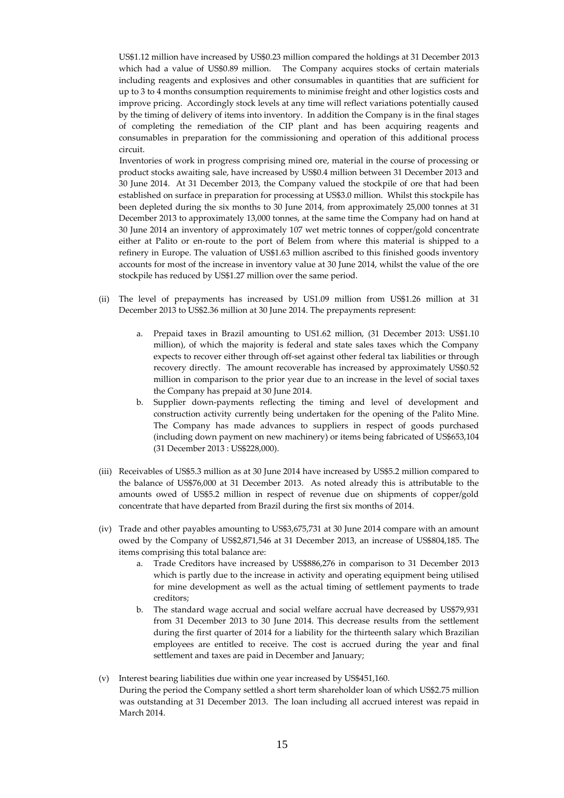US\$1.12 million have increased by US\$0.23 million compared the holdings at 31 December 2013 which had a value of US\$0.89 million. The Company acquires stocks of certain materials including reagents and explosives and other consumables in quantities that are sufficient for up to 3 to 4 months consumption requirements to minimise freight and other logistics costs and improve pricing. Accordingly stock levels at any time will reflect variations potentially caused by the timing of delivery of items into inventory. In addition the Company is in the final stages of completing the remediation of the CIP plant and has been acquiring reagents and consumables in preparation for the commissioning and operation of this additional process circuit.

Inventories of work in progress comprising mined ore, material in the course of processing or product stocks awaiting sale, have increased by US\$0.4 million between 31 December 2013 and 30 June 2014. At 31 December 2013, the Company valued the stockpile of ore that had been established on surface in preparation for processing at US\$3.0 million. Whilst this stockpile has been depleted during the six months to 30 June 2014, from approximately 25,000 tonnes at 31 December 2013 to approximately 13,000 tonnes, at the same time the Company had on hand at 30 June 2014 an inventory of approximately 107 wet metric tonnes of copper/gold concentrate either at Palito or en-route to the port of Belem from where this material is shipped to a refinery in Europe. The valuation of US\$1.63 million ascribed to this finished goods inventory accounts for most of the increase in inventory value at 30 June 2014, whilst the value of the ore stockpile has reduced by US\$1.27 million over the same period.

- (ii) The level of prepayments has increased by US1.09 million from US\$1.26 million at 31 December 2013 to US\$2.36 million at 30 June 2014. The prepayments represent:
	- a. Prepaid taxes in Brazil amounting to US1.62 million, (31 December 2013: US\$1.10 million), of which the majority is federal and state sales taxes which the Company expects to recover either through off-set against other federal tax liabilities or through recovery directly. The amount recoverable has increased by approximately US\$0.52 million in comparison to the prior year due to an increase in the level of social taxes the Company has prepaid at 30 June 2014.
	- b. Supplier down-payments reflecting the timing and level of development and construction activity currently being undertaken for the opening of the Palito Mine. The Company has made advances to suppliers in respect of goods purchased (including down payment on new machinery) or items being fabricated of US\$653,104 (31 December 2013 : US\$228,000).
- (iii) Receivables of US\$5.3 million as at 30 June 2014 have increased by US\$5.2 million compared to the balance of US\$76,000 at 31 December 2013. As noted already this is attributable to the amounts owed of US\$5.2 million in respect of revenue due on shipments of copper/gold concentrate that have departed from Brazil during the first six months of 2014.
- (iv) Trade and other payables amounting to US\$3,675,731 at 30 June 2014 compare with an amount owed by the Company of US\$2,871,546 at 31 December 2013, an increase of US\$804,185. The items comprising this total balance are:
	- a. Trade Creditors have increased by US\$886,276 in comparison to 31 December 2013 which is partly due to the increase in activity and operating equipment being utilised for mine development as well as the actual timing of settlement payments to trade creditors;
	- b. The standard wage accrual and social welfare accrual have decreased by US\$79,931 from 31 December 2013 to 30 June 2014. This decrease results from the settlement during the first quarter of 2014 for a liability for the thirteenth salary which Brazilian employees are entitled to receive. The cost is accrued during the year and final settlement and taxes are paid in December and January;
- (v) Interest bearing liabilities due within one year increased by US\$451,160. During the period the Company settled a short term shareholder loan of which US\$2.75 million was outstanding at 31 December 2013. The loan including all accrued interest was repaid in March 2014.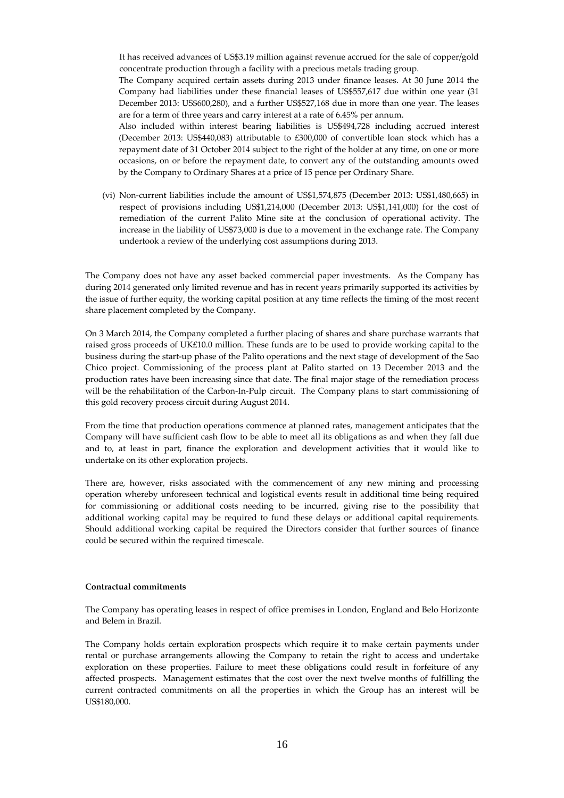It has received advances of US\$3.19 million against revenue accrued for the sale of copper/gold concentrate production through a facility with a precious metals trading group.

The Company acquired certain assets during 2013 under finance leases. At 30 June 2014 the Company had liabilities under these financial leases of US\$557,617 due within one year (31 December 2013: US\$600,280), and a further US\$527,168 due in more than one year. The leases are for a term of three years and carry interest at a rate of 6.45% per annum.

Also included within interest bearing liabilities is US\$494,728 including accrued interest (December 2013: US\$440,083) attributable to £300,000 of convertible loan stock which has a repayment date of 31 October 2014 subject to the right of the holder at any time, on one or more occasions, on or before the repayment date, to convert any of the outstanding amounts owed by the Company to Ordinary Shares at a price of 15 pence per Ordinary Share.

(vi) Non-current liabilities include the amount of US\$1,574,875 (December 2013: US\$1,480,665) in respect of provisions including US\$1,214,000 (December 2013: US\$1,141,000) for the cost of remediation of the current Palito Mine site at the conclusion of operational activity. The increase in the liability of US\$73,000 is due to a movement in the exchange rate. The Company undertook a review of the underlying cost assumptions during 2013.

The Company does not have any asset backed commercial paper investments. As the Company has during 2014 generated only limited revenue and has in recent years primarily supported its activities by the issue of further equity, the working capital position at any time reflects the timing of the most recent share placement completed by the Company.

On 3 March 2014, the Company completed a further placing of shares and share purchase warrants that raised gross proceeds of UK£10.0 million. These funds are to be used to provide working capital to the business during the start-up phase of the Palito operations and the next stage of development of the Sao Chico project. Commissioning of the process plant at Palito started on 13 December 2013 and the production rates have been increasing since that date. The final major stage of the remediation process will be the rehabilitation of the Carbon-In-Pulp circuit. The Company plans to start commissioning of this gold recovery process circuit during August 2014.

From the time that production operations commence at planned rates, management anticipates that the Company will have sufficient cash flow to be able to meet all its obligations as and when they fall due and to, at least in part, finance the exploration and development activities that it would like to undertake on its other exploration projects.

There are, however, risks associated with the commencement of any new mining and processing operation whereby unforeseen technical and logistical events result in additional time being required for commissioning or additional costs needing to be incurred, giving rise to the possibility that additional working capital may be required to fund these delays or additional capital requirements. Should additional working capital be required the Directors consider that further sources of finance could be secured within the required timescale.

#### **Contractual commitments**

The Company has operating leases in respect of office premises in London, England and Belo Horizonte and Belem in Brazil.

The Company holds certain exploration prospects which require it to make certain payments under rental or purchase arrangements allowing the Company to retain the right to access and undertake exploration on these properties. Failure to meet these obligations could result in forfeiture of any affected prospects. Management estimates that the cost over the next twelve months of fulfilling the current contracted commitments on all the properties in which the Group has an interest will be US\$180,000.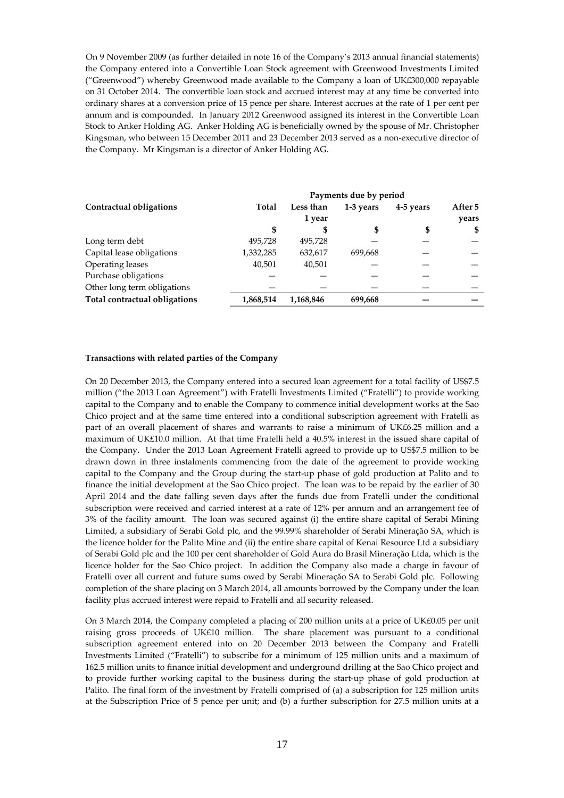On 9 November 2009 (as further detailed in note 16 of the Company's 2013 annual financial statements) the Company entered into a Convertible Loan Stock agreement with Greenwood Investments Limited ("Greenwood") whereby Greenwood made available to the Company a loan of UK£300,000 repayable on 31 October 2014. The convertible loan stock and accrued interest may at any time be converted into ordinary shares at a conversion price of 15 pence per share. Interest accrues at the rate of 1 per cent per annum and is compounded. In January 2012 Greenwood assigned its interest in the Convertible Loan Stock to Anker Holding AG. Anker Holding AG is beneficially owned by the spouse of Mr. Christopher Kingsman, who between 15 December 2011 and 23 December 2013 served as a non-executive director of the Company. Mr Kingsman is a director of Anker Holding AG.

|                               |           |           | Payments due by period |           |         |
|-------------------------------|-----------|-----------|------------------------|-----------|---------|
| Contractual obligations       | Total     | Less than | 1-3 years              | 4-5 years | After 5 |
|                               |           | 1 year    |                        |           | years   |
|                               | S         |           | S                      | \$        | -56     |
| Long term debt                | 495,728   | 495,728   |                        |           |         |
| Capital lease obligations     | 1,332,285 | 632,617   | 699,668                |           |         |
| Operating leases              | 40,501    | 40,501    |                        |           |         |
| Purchase obligations          |           |           |                        |           |         |
| Other long term obligations   |           |           |                        |           |         |
| Total contractual obligations | 1,868,514 | 1,168,846 | 699,668                |           |         |

#### **Transactions with related parties of the Company**

On 20 December 2013, the Company entered into a secured loan agreement for a total facility of US\$7.5 million ("the 2013 Loan Agreement") with Fratelli Investments Limited ("Fratelli") to provide working capital to the Company and to enable the Company to commence initial development works at the Sao Chico project and at the same time entered into a conditional subscription agreement with Fratelli as part of an overall placement of shares and warrants to raise a minimum of UK£6.25 million and a maximum of UK£10.0 million. At that time Fratelli held a 40.5% interest in the issued share capital of the Company. Under the 2013 Loan Agreement Fratelli agreed to provide up to US\$7.5 million to be drawn down in three instalments commencing from the date of the agreement to provide working capital to the Company and the Group during the start-up phase of gold production at Palito and to finance the initial development at the Sao Chico project. The loan was to be repaid by the earlier of 30 April 2014 and the date falling seven days after the funds due from Fratelli under the conditional subscription were received and carried interest at a rate of 12% per annum and an arrangement fee of 3% of the facility amount. The loan was secured against (i) the entire share capital of Serabi Mining Limited, a subsidiary of Serabi Gold plc, and the 99.99% shareholder of Serabi Mineraçăo SA, which is the licence holder for the Palito Mine and (ii) the entire share capital of Kenai Resource Ltd a subsidiary of Serabi Gold plc and the 100 per cent shareholder of Gold Aura do Brasil Mineraçăo Ltda, which is the licence holder for the Sao Chico project. In addition the Company also made a charge in favour of Fratelli over all current and future sums owed by Serabi Mineraçăo SA to Serabi Gold plc. Following completion of the share placing on 3 March 2014, all amounts borrowed by the Company under the loan facility plus accrued interest were repaid to Fratelli and all security released.

On 3 March 2014, the Company completed a placing of 200 million units at a price of UK£0.05 per unit raising gross proceeds of UK£10 million. The share placement was pursuant to a conditional subscription agreement entered into on 20 December 2013 between the Company and Fratelli Investments Limited ("Fratelli") to subscribe for a minimum of 125 million units and a maximum of 162.5 million units to finance initial development and underground drilling at the Sao Chico project and to provide further working capital to the business during the start-up phase of gold production at Palito. The final form of the investment by Fratelli comprised of (a) a subscription for 125 million units at the Subscription Price of 5 pence per unit; and (b) a further subscription for 27.5 million units at a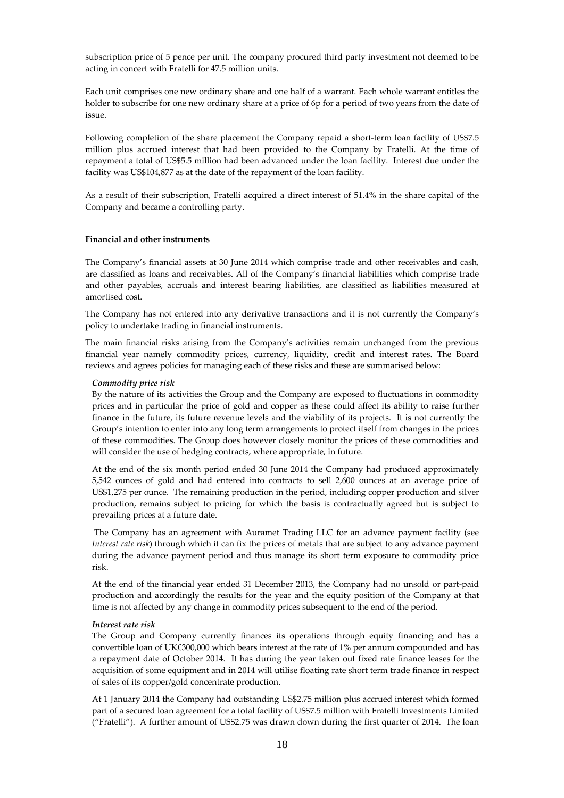subscription price of 5 pence per unit. The company procured third party investment not deemed to be acting in concert with Fratelli for 47.5 million units.

Each unit comprises one new ordinary share and one half of a warrant. Each whole warrant entitles the holder to subscribe for one new ordinary share at a price of 6p for a period of two years from the date of issue.

Following completion of the share placement the Company repaid a short-term loan facility of US\$7.5 million plus accrued interest that had been provided to the Company by Fratelli. At the time of repayment a total of US\$5.5 million had been advanced under the loan facility. Interest due under the facility was US\$104,877 as at the date of the repayment of the loan facility.

As a result of their subscription, Fratelli acquired a direct interest of 51.4% in the share capital of the Company and became a controlling party.

#### **Financial and other instruments**

The Company's financial assets at 30 June 2014 which comprise trade and other receivables and cash, are classified as loans and receivables. All of the Company's financial liabilities which comprise trade and other payables, accruals and interest bearing liabilities, are classified as liabilities measured at amortised cost.

The Company has not entered into any derivative transactions and it is not currently the Company's policy to undertake trading in financial instruments.

The main financial risks arising from the Company's activities remain unchanged from the previous financial year namely commodity prices, currency, liquidity, credit and interest rates. The Board reviews and agrees policies for managing each of these risks and these are summarised below:

#### *Commodity price risk*

By the nature of its activities the Group and the Company are exposed to fluctuations in commodity prices and in particular the price of gold and copper as these could affect its ability to raise further finance in the future, its future revenue levels and the viability of its projects. It is not currently the Group's intention to enter into any long term arrangements to protect itself from changes in the prices of these commodities. The Group does however closely monitor the prices of these commodities and will consider the use of hedging contracts, where appropriate, in future.

At the end of the six month period ended 30 June 2014 the Company had produced approximately 5,542 ounces of gold and had entered into contracts to sell 2,600 ounces at an average price of US\$1,275 per ounce. The remaining production in the period, including copper production and silver production, remains subject to pricing for which the basis is contractually agreed but is subject to prevailing prices at a future date.

 The Company has an agreement with Auramet Trading LLC for an advance payment facility (see *Interest rate risk*) through which it can fix the prices of metals that are subject to any advance payment during the advance payment period and thus manage its short term exposure to commodity price risk.

At the end of the financial year ended 31 December 2013, the Company had no unsold or part-paid production and accordingly the results for the year and the equity position of the Company at that time is not affected by any change in commodity prices subsequent to the end of the period.

#### *Interest rate risk*

The Group and Company currently finances its operations through equity financing and has a convertible loan of UK£300,000 which bears interest at the rate of 1% per annum compounded and has a repayment date of October 2014. It has during the year taken out fixed rate finance leases for the acquisition of some equipment and in 2014 will utilise floating rate short term trade finance in respect of sales of its copper/gold concentrate production.

At 1 January 2014 the Company had outstanding US\$2.75 million plus accrued interest which formed part of a secured loan agreement for a total facility of US\$7.5 million with Fratelli Investments Limited ("Fratelli"). A further amount of US\$2.75 was drawn down during the first quarter of 2014. The loan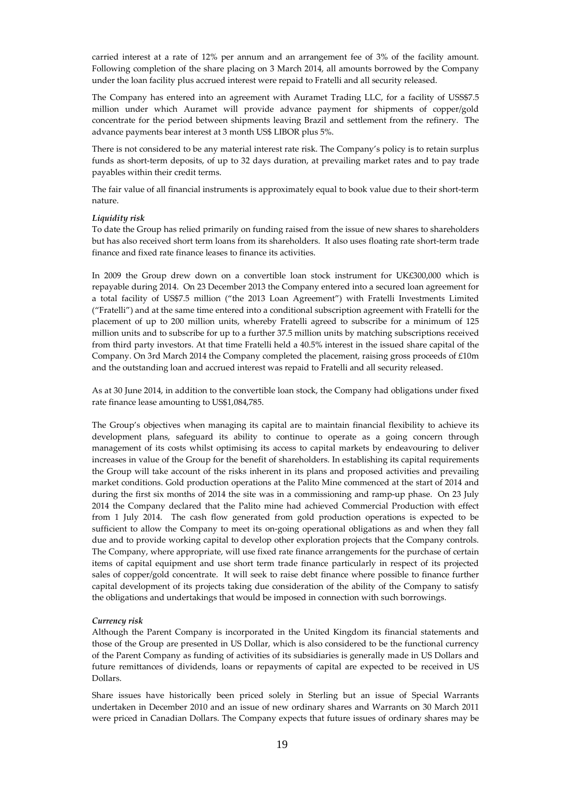carried interest at a rate of 12% per annum and an arrangement fee of 3% of the facility amount. Following completion of the share placing on 3 March 2014, all amounts borrowed by the Company under the loan facility plus accrued interest were repaid to Fratelli and all security released.

The Company has entered into an agreement with Auramet Trading LLC, for a facility of USS\$7.5 million under which Auramet will provide advance payment for shipments of copper/gold concentrate for the period between shipments leaving Brazil and settlement from the refinery. The advance payments bear interest at 3 month US\$ LIBOR plus 5%.

There is not considered to be any material interest rate risk. The Company's policy is to retain surplus funds as short-term deposits, of up to 32 days duration, at prevailing market rates and to pay trade payables within their credit terms.

The fair value of all financial instruments is approximately equal to book value due to their short-term nature.

#### *Liquidity risk*

To date the Group has relied primarily on funding raised from the issue of new shares to shareholders but has also received short term loans from its shareholders. It also uses floating rate short-term trade finance and fixed rate finance leases to finance its activities.

In 2009 the Group drew down on a convertible loan stock instrument for UK£300,000 which is repayable during 2014. On 23 December 2013 the Company entered into a secured loan agreement for a total facility of US\$7.5 million ("the 2013 Loan Agreement") with Fratelli Investments Limited ("Fratelli") and at the same time entered into a conditional subscription agreement with Fratelli for the placement of up to 200 million units, whereby Fratelli agreed to subscribe for a minimum of 125 million units and to subscribe for up to a further 37.5 million units by matching subscriptions received from third party investors. At that time Fratelli held a 40.5% interest in the issued share capital of the Company. On 3rd March 2014 the Company completed the placement, raising gross proceeds of £10m and the outstanding loan and accrued interest was repaid to Fratelli and all security released.

As at 30 June 2014, in addition to the convertible loan stock, the Company had obligations under fixed rate finance lease amounting to US\$1,084,785.

The Group's objectives when managing its capital are to maintain financial flexibility to achieve its development plans, safeguard its ability to continue to operate as a going concern through management of its costs whilst optimising its access to capital markets by endeavouring to deliver increases in value of the Group for the benefit of shareholders. In establishing its capital requirements the Group will take account of the risks inherent in its plans and proposed activities and prevailing market conditions. Gold production operations at the Palito Mine commenced at the start of 2014 and during the first six months of 2014 the site was in a commissioning and ramp-up phase. On 23 July 2014 the Company declared that the Palito mine had achieved Commercial Production with effect from 1 July 2014. The cash flow generated from gold production operations is expected to be sufficient to allow the Company to meet its on-going operational obligations as and when they fall due and to provide working capital to develop other exploration projects that the Company controls. The Company, where appropriate, will use fixed rate finance arrangements for the purchase of certain items of capital equipment and use short term trade finance particularly in respect of its projected sales of copper/gold concentrate. It will seek to raise debt finance where possible to finance further capital development of its projects taking due consideration of the ability of the Company to satisfy the obligations and undertakings that would be imposed in connection with such borrowings.

#### *Currency risk*

Although the Parent Company is incorporated in the United Kingdom its financial statements and those of the Group are presented in US Dollar, which is also considered to be the functional currency of the Parent Company as funding of activities of its subsidiaries is generally made in US Dollars and future remittances of dividends, loans or repayments of capital are expected to be received in US Dollars.

Share issues have historically been priced solely in Sterling but an issue of Special Warrants undertaken in December 2010 and an issue of new ordinary shares and Warrants on 30 March 2011 were priced in Canadian Dollars. The Company expects that future issues of ordinary shares may be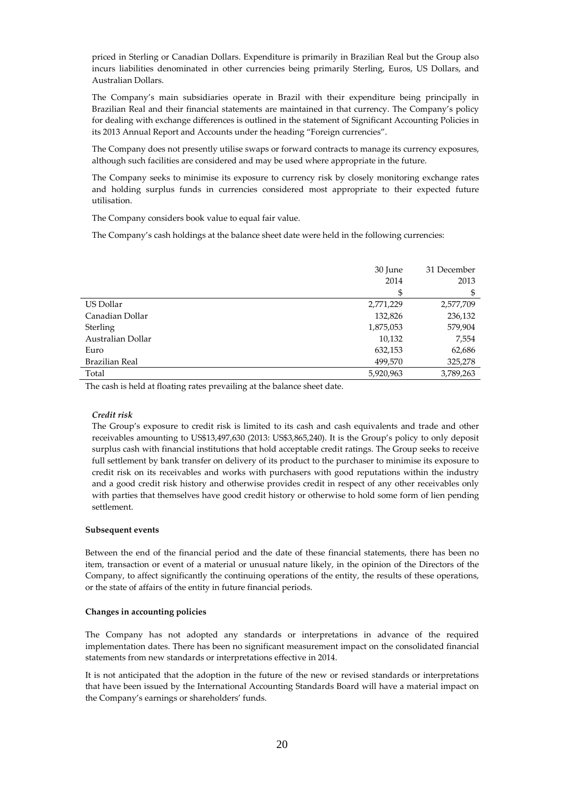priced in Sterling or Canadian Dollars. Expenditure is primarily in Brazilian Real but the Group also incurs liabilities denominated in other currencies being primarily Sterling, Euros, US Dollars, and Australian Dollars.

The Company's main subsidiaries operate in Brazil with their expenditure being principally in Brazilian Real and their financial statements are maintained in that currency. The Company's policy for dealing with exchange differences is outlined in the statement of Significant Accounting Policies in its 2013 Annual Report and Accounts under the heading "Foreign currencies".

The Company does not presently utilise swaps or forward contracts to manage its currency exposures, although such facilities are considered and may be used where appropriate in the future.

The Company seeks to minimise its exposure to currency risk by closely monitoring exchange rates and holding surplus funds in currencies considered most appropriate to their expected future utilisation.

The Company considers book value to equal fair value.

The Company's cash holdings at the balance sheet date were held in the following currencies:

|                   | 30 June   | 31 December |
|-------------------|-----------|-------------|
|                   | 2014      | 2013        |
|                   | \$        | \$          |
| US Dollar         | 2,771,229 | 2,577,709   |
| Canadian Dollar   | 132,826   | 236,132     |
| Sterling          | 1,875,053 | 579,904     |
| Australian Dollar | 10,132    | 7,554       |
| Euro              | 632,153   | 62,686      |
| Brazilian Real    | 499,570   | 325,278     |
| Total             | 5,920,963 | 3,789,263   |

The cash is held at floating rates prevailing at the balance sheet date.

#### *Credit risk*

The Group's exposure to credit risk is limited to its cash and cash equivalents and trade and other receivables amounting to US\$13,497,630 (2013: US\$3,865,240). It is the Group's policy to only deposit surplus cash with financial institutions that hold acceptable credit ratings. The Group seeks to receive full settlement by bank transfer on delivery of its product to the purchaser to minimise its exposure to credit risk on its receivables and works with purchasers with good reputations within the industry and a good credit risk history and otherwise provides credit in respect of any other receivables only with parties that themselves have good credit history or otherwise to hold some form of lien pending settlement.

#### **Subsequent events**

Between the end of the financial period and the date of these financial statements, there has been no item, transaction or event of a material or unusual nature likely, in the opinion of the Directors of the Company, to affect significantly the continuing operations of the entity, the results of these operations, or the state of affairs of the entity in future financial periods.

#### **Changes in accounting policies**

The Company has not adopted any standards or interpretations in advance of the required implementation dates. There has been no significant measurement impact on the consolidated financial statements from new standards or interpretations effective in 2014.

It is not anticipated that the adoption in the future of the new or revised standards or interpretations that have been issued by the International Accounting Standards Board will have a material impact on the Company's earnings or shareholders' funds.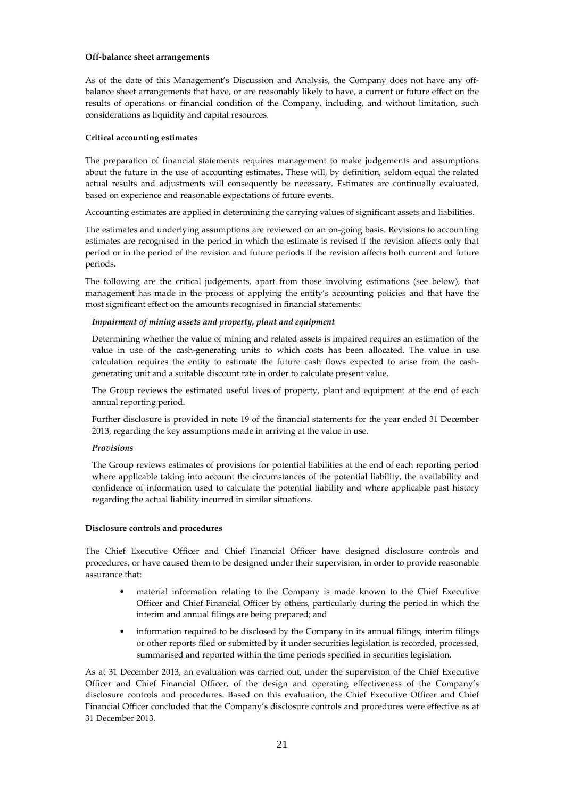#### **Off-balance sheet arrangements**

As of the date of this Management's Discussion and Analysis, the Company does not have any offbalance sheet arrangements that have, or are reasonably likely to have, a current or future effect on the results of operations or financial condition of the Company, including, and without limitation, such considerations as liquidity and capital resources.

#### **Critical accounting estimates**

The preparation of financial statements requires management to make judgements and assumptions about the future in the use of accounting estimates. These will, by definition, seldom equal the related actual results and adjustments will consequently be necessary. Estimates are continually evaluated, based on experience and reasonable expectations of future events.

Accounting estimates are applied in determining the carrying values of significant assets and liabilities.

The estimates and underlying assumptions are reviewed on an on-going basis. Revisions to accounting estimates are recognised in the period in which the estimate is revised if the revision affects only that period or in the period of the revision and future periods if the revision affects both current and future periods.

The following are the critical judgements, apart from those involving estimations (see below), that management has made in the process of applying the entity's accounting policies and that have the most significant effect on the amounts recognised in financial statements:

#### *Impairment of mining assets and property, plant and equipment*

Determining whether the value of mining and related assets is impaired requires an estimation of the value in use of the cash-generating units to which costs has been allocated. The value in use calculation requires the entity to estimate the future cash flows expected to arise from the cashgenerating unit and a suitable discount rate in order to calculate present value.

The Group reviews the estimated useful lives of property, plant and equipment at the end of each annual reporting period.

Further disclosure is provided in note 19 of the financial statements for the year ended 31 December 2013, regarding the key assumptions made in arriving at the value in use.

#### *Provisions*

The Group reviews estimates of provisions for potential liabilities at the end of each reporting period where applicable taking into account the circumstances of the potential liability, the availability and confidence of information used to calculate the potential liability and where applicable past history regarding the actual liability incurred in similar situations.

#### **Disclosure controls and procedures**

The Chief Executive Officer and Chief Financial Officer have designed disclosure controls and procedures, or have caused them to be designed under their supervision, in order to provide reasonable assurance that:

- material information relating to the Company is made known to the Chief Executive Officer and Chief Financial Officer by others, particularly during the period in which the interim and annual filings are being prepared; and
- information required to be disclosed by the Company in its annual filings, interim filings or other reports filed or submitted by it under securities legislation is recorded, processed, summarised and reported within the time periods specified in securities legislation.

As at 31 December 2013, an evaluation was carried out, under the supervision of the Chief Executive Officer and Chief Financial Officer, of the design and operating effectiveness of the Company's disclosure controls and procedures. Based on this evaluation, the Chief Executive Officer and Chief Financial Officer concluded that the Company's disclosure controls and procedures were effective as at 31 December 2013.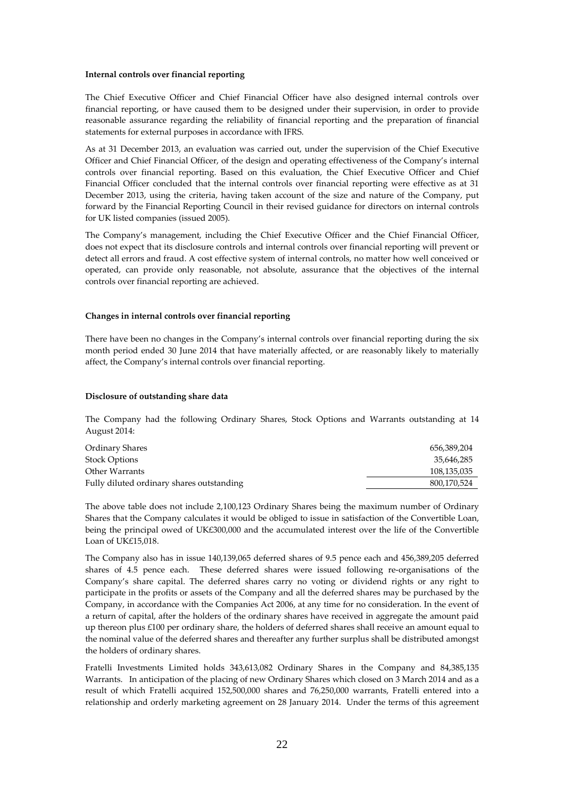#### **Internal controls over financial reporting**

The Chief Executive Officer and Chief Financial Officer have also designed internal controls over financial reporting, or have caused them to be designed under their supervision, in order to provide reasonable assurance regarding the reliability of financial reporting and the preparation of financial statements for external purposes in accordance with IFRS.

As at 31 December 2013, an evaluation was carried out, under the supervision of the Chief Executive Officer and Chief Financial Officer, of the design and operating effectiveness of the Company's internal controls over financial reporting. Based on this evaluation, the Chief Executive Officer and Chief Financial Officer concluded that the internal controls over financial reporting were effective as at 31 December 2013, using the criteria, having taken account of the size and nature of the Company, put forward by the Financial Reporting Council in their revised guidance for directors on internal controls for UK listed companies (issued 2005).

The Company's management, including the Chief Executive Officer and the Chief Financial Officer, does not expect that its disclosure controls and internal controls over financial reporting will prevent or detect all errors and fraud. A cost effective system of internal controls, no matter how well conceived or operated, can provide only reasonable, not absolute, assurance that the objectives of the internal controls over financial reporting are achieved.

#### **Changes in internal controls over financial reporting**

There have been no changes in the Company's internal controls over financial reporting during the six month period ended 30 June 2014 that have materially affected, or are reasonably likely to materially affect, the Company's internal controls over financial reporting.

# **Disclosure of outstanding share data**

The Company had the following Ordinary Shares, Stock Options and Warrants outstanding at 14 August 2014:

| Ordinary Shares                           | 656,389,204 |
|-------------------------------------------|-------------|
| <b>Stock Options</b>                      | 35.646.285  |
| Other Warrants                            | 108,135,035 |
| Fully diluted ordinary shares outstanding | 800,170,524 |

The above table does not include 2,100,123 Ordinary Shares being the maximum number of Ordinary Shares that the Company calculates it would be obliged to issue in satisfaction of the Convertible Loan, being the principal owed of UK£300,000 and the accumulated interest over the life of the Convertible Loan of UK£15,018.

The Company also has in issue 140,139,065 deferred shares of 9.5 pence each and 456,389,205 deferred shares of 4.5 pence each. These deferred shares were issued following re-organisations of the Company's share capital. The deferred shares carry no voting or dividend rights or any right to participate in the profits or assets of the Company and all the deferred shares may be purchased by the Company, in accordance with the Companies Act 2006, at any time for no consideration. In the event of a return of capital, after the holders of the ordinary shares have received in aggregate the amount paid up thereon plus £100 per ordinary share, the holders of deferred shares shall receive an amount equal to the nominal value of the deferred shares and thereafter any further surplus shall be distributed amongst the holders of ordinary shares.

Fratelli Investments Limited holds 343,613,082 Ordinary Shares in the Company and 84,385,135 Warrants. In anticipation of the placing of new Ordinary Shares which closed on 3 March 2014 and as a result of which Fratelli acquired 152,500,000 shares and 76,250,000 warrants, Fratelli entered into a relationship and orderly marketing agreement on 28 January 2014. Under the terms of this agreement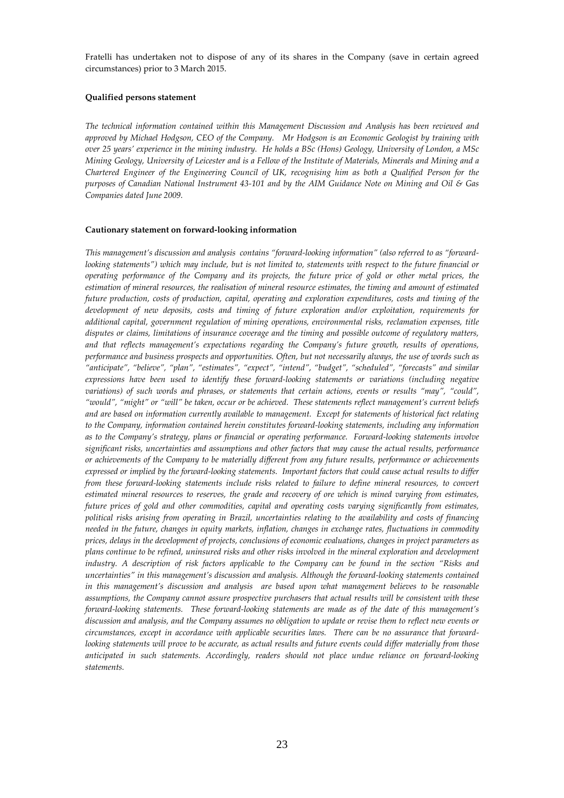Fratelli has undertaken not to dispose of any of its shares in the Company (save in certain agreed circumstances) prior to 3 March 2015.

# **Qualified persons statement**

*The technical information contained within this Management Discussion and Analysis has been reviewed and approved by Michael Hodgson, CEO of the Company. Mr Hodgson is an Economic Geologist by training with over 25 years' experience in the mining industry. He holds a BSc (Hons) Geology, University of London, a MSc Mining Geology, University of Leicester and is a Fellow of the Institute of Materials, Minerals and Mining and a Chartered Engineer of the Engineering Council of UK, recognising him as both a Qualified Person for the purposes of Canadian National Instrument 43-101 and by the AIM Guidance Note on Mining and Oil & Gas Companies dated June 2009.* 

#### **Cautionary statement on forward-looking information**

*This management's discussion and analysis contains "forward-looking information" (also referred to as "forwardlooking statements") which may include, but is not limited to, statements with respect to the future financial or operating performance of the Company and its projects, the future price of gold or other metal prices, the estimation of mineral resources, the realisation of mineral resource estimates, the timing and amount of estimated future production, costs of production, capital, operating and exploration expenditures, costs and timing of the development of new deposits, costs and timing of future exploration and/or exploitation, requirements for additional capital, government regulation of mining operations, environmental risks, reclamation expenses, title disputes or claims, limitations of insurance coverage and the timing and possible outcome of regulatory matters, and that reflects management's expectations regarding the Company's future growth, results of operations, performance and business prospects and opportunities. Often, but not necessarily always, the use of words such as "anticipate", "believe", "plan", "estimates", "expect", "intend", "budget", "scheduled", "forecasts" and similar expressions have been used to identify these forward-looking statements or variations (including negative variations) of such words and phrases, or statements that certain actions, events or results "may", "could", "would", "might" or "will" be taken, occur or be achieved. These statements reflect management's current beliefs and are based on information currently available to management. Except for statements of historical fact relating to the Company, information contained herein constitutes forward-looking statements, including any information as to the Company's strategy, plans or financial or operating performance. Forward-looking statements involve significant risks, uncertainties and assumptions and other factors that may cause the actual results, performance or achievements of the Company to be materially different from any future results, performance or achievements expressed or implied by the forward-looking statements. Important factors that could cause actual results to differ from these forward-looking statements include risks related to failure to define mineral resources, to convert estimated mineral resources to reserves, the grade and recovery of ore which is mined varying from estimates, future prices of gold and other commodities, capital and operating costs varying significantly from estimates, political risks arising from operating in Brazil, uncertainties relating to the availability and costs of financing needed in the future, changes in equity markets, inflation, changes in exchange rates, fluctuations in commodity prices, delays in the development of projects, conclusions of economic evaluations, changes in project parameters as plans continue to be refined, uninsured risks and other risks involved in the mineral exploration and development industry. A description of risk factors applicable to the Company can be found in the section "Risks and uncertainties" in this management's discussion and analysis. Although the forward-looking statements contained in this management's discussion and analysis are based upon what management believes to be reasonable assumptions, the Company cannot assure prospective purchasers that actual results will be consistent with these forward-looking statements. These forward-looking statements are made as of the date of this management's discussion and analysis, and the Company assumes no obligation to update or revise them to reflect new events or circumstances, except in accordance with applicable securities laws. There can be no assurance that forwardlooking statements will prove to be accurate, as actual results and future events could differ materially from those anticipated in such statements. Accordingly, readers should not place undue reliance on forward-looking statements.*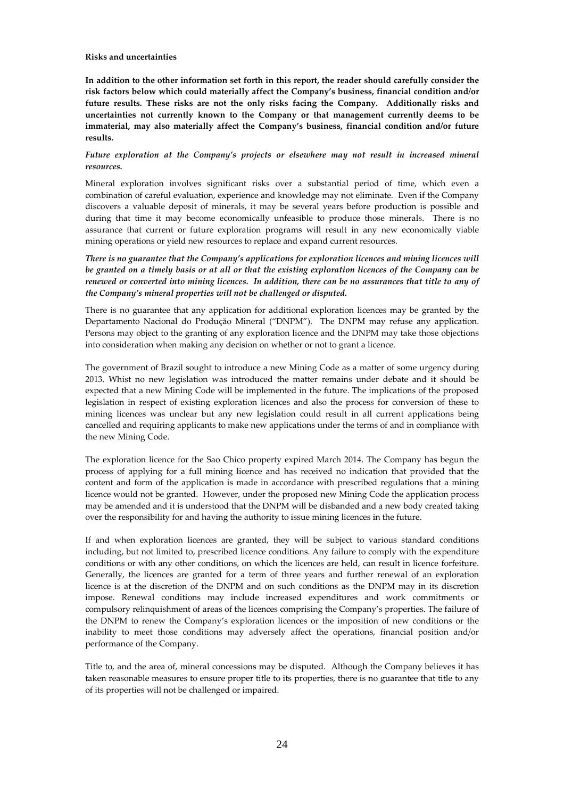#### **Risks and uncertainties**

**In addition to the other information set forth in this report, the reader should carefully consider the risk factors below which could materially affect the Company's business, financial condition and/or future results. These risks are not the only risks facing the Company. Additionally risks and uncertainties not currently known to the Company or that management currently deems to be immaterial, may also materially affect the Company's business, financial condition and/or future results.** 

# *Future exploration at the Company's projects or elsewhere may not result in increased mineral resources.*

Mineral exploration involves significant risks over a substantial period of time, which even a combination of careful evaluation, experience and knowledge may not eliminate. Even if the Company discovers a valuable deposit of minerals, it may be several years before production is possible and during that time it may become economically unfeasible to produce those minerals. There is no assurance that current or future exploration programs will result in any new economically viable mining operations or yield new resources to replace and expand current resources.

*There is no guarantee that the Company's applications for exploration licences and mining licences will be granted on a timely basis or at all or that the existing exploration licences of the Company can be renewed or converted into mining licences. In addition, there can be no assurances that title to any of the Company's mineral properties will not be challenged or disputed.* 

There is no guarantee that any application for additional exploration licences may be granted by the Departamento Nacional do Produçăo Mineral ("DNPM"). The DNPM may refuse any application. Persons may object to the granting of any exploration licence and the DNPM may take those objections into consideration when making any decision on whether or not to grant a licence.

The government of Brazil sought to introduce a new Mining Code as a matter of some urgency during 2013. Whist no new legislation was introduced the matter remains under debate and it should be expected that a new Mining Code will be implemented in the future. The implications of the proposed legislation in respect of existing exploration licences and also the process for conversion of these to mining licences was unclear but any new legislation could result in all current applications being cancelled and requiring applicants to make new applications under the terms of and in compliance with the new Mining Code.

The exploration licence for the Sao Chico property expired March 2014. The Company has begun the process of applying for a full mining licence and has received no indication that provided that the content and form of the application is made in accordance with prescribed regulations that a mining licence would not be granted. However, under the proposed new Mining Code the application process may be amended and it is understood that the DNPM will be disbanded and a new body created taking over the responsibility for and having the authority to issue mining licences in the future.

If and when exploration licences are granted, they will be subject to various standard conditions including, but not limited to, prescribed licence conditions. Any failure to comply with the expenditure conditions or with any other conditions, on which the licences are held, can result in licence forfeiture. Generally, the licences are granted for a term of three years and further renewal of an exploration licence is at the discretion of the DNPM and on such conditions as the DNPM may in its discretion impose. Renewal conditions may include increased expenditures and work commitments or compulsory relinquishment of areas of the licences comprising the Company's properties. The failure of the DNPM to renew the Company's exploration licences or the imposition of new conditions or the inability to meet those conditions may adversely affect the operations, financial position and/or performance of the Company.

Title to, and the area of, mineral concessions may be disputed. Although the Company believes it has taken reasonable measures to ensure proper title to its properties, there is no guarantee that title to any of its properties will not be challenged or impaired.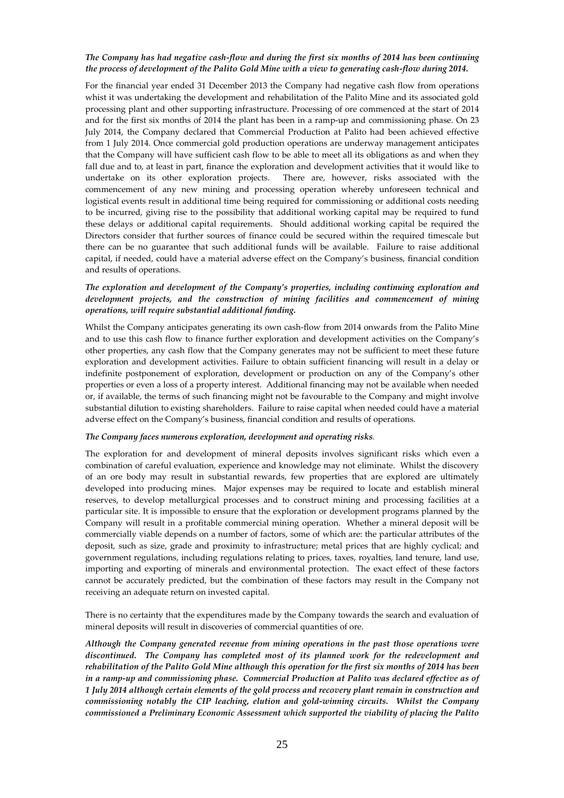# *The Company has had negative cash-flow and during the first six months of 2014 has been continuing the process of development of the Palito Gold Mine with a view to generating cash-flow during 2014.*

For the financial year ended 31 December 2013 the Company had negative cash flow from operations whist it was undertaking the development and rehabilitation of the Palito Mine and its associated gold processing plant and other supporting infrastructure. Processing of ore commenced at the start of 2014 and for the first six months of 2014 the plant has been in a ramp-up and commissioning phase. On 23 July 2014, the Company declared that Commercial Production at Palito had been achieved effective from 1 July 2014. Once commercial gold production operations are underway management anticipates that the Company will have sufficient cash flow to be able to meet all its obligations as and when they fall due and to, at least in part, finance the exploration and development activities that it would like to undertake on its other exploration projects. There are, however, risks associated with the commencement of any new mining and processing operation whereby unforeseen technical and logistical events result in additional time being required for commissioning or additional costs needing to be incurred, giving rise to the possibility that additional working capital may be required to fund these delays or additional capital requirements. Should additional working capital be required the Directors consider that further sources of finance could be secured within the required timescale but there can be no guarantee that such additional funds will be available. Failure to raise additional capital, if needed, could have a material adverse effect on the Company's business, financial condition and results of operations.

# *The exploration and development of the Company's properties, including continuing exploration and development projects, and the construction of mining facilities and commencement of mining operations, will require substantial additional funding.*

Whilst the Company anticipates generating its own cash-flow from 2014 onwards from the Palito Mine and to use this cash flow to finance further exploration and development activities on the Company's other properties, any cash flow that the Company generates may not be sufficient to meet these future exploration and development activities. Failure to obtain sufficient financing will result in a delay or indefinite postponement of exploration, development or production on any of the Company's other properties or even a loss of a property interest. Additional financing may not be available when needed or, if available, the terms of such financing might not be favourable to the Company and might involve substantial dilution to existing shareholders. Failure to raise capital when needed could have a material adverse effect on the Company's business, financial condition and results of operations.

#### *The Company faces numerous exploration, development and operating risks.*

The exploration for and development of mineral deposits involves significant risks which even a combination of careful evaluation, experience and knowledge may not eliminate. Whilst the discovery of an ore body may result in substantial rewards, few properties that are explored are ultimately developed into producing mines. Major expenses may be required to locate and establish mineral reserves, to develop metallurgical processes and to construct mining and processing facilities at a particular site. It is impossible to ensure that the exploration or development programs planned by the Company will result in a profitable commercial mining operation. Whether a mineral deposit will be commercially viable depends on a number of factors, some of which are: the particular attributes of the deposit, such as size, grade and proximity to infrastructure; metal prices that are highly cyclical; and government regulations, including regulations relating to prices, taxes, royalties, land tenure, land use, importing and exporting of minerals and environmental protection. The exact effect of these factors cannot be accurately predicted, but the combination of these factors may result in the Company not receiving an adequate return on invested capital.

There is no certainty that the expenditures made by the Company towards the search and evaluation of mineral deposits will result in discoveries of commercial quantities of ore.

*Although the Company generated revenue from mining operations in the past those operations were discontinued. The Company has completed most of its planned work for the redevelopment and rehabilitation of the Palito Gold Mine although this operation for the first six months of 2014 has been in a ramp-up and commissioning phase. Commercial Production at Palito was declared effective as of 1 July 2014 although certain elements of the gold process and recovery plant remain in construction and commissioning notably the CIP leaching, elution and gold-winning circuits. Whilst the Company commissioned a Preliminary Economic Assessment which supported the viability of placing the Palito*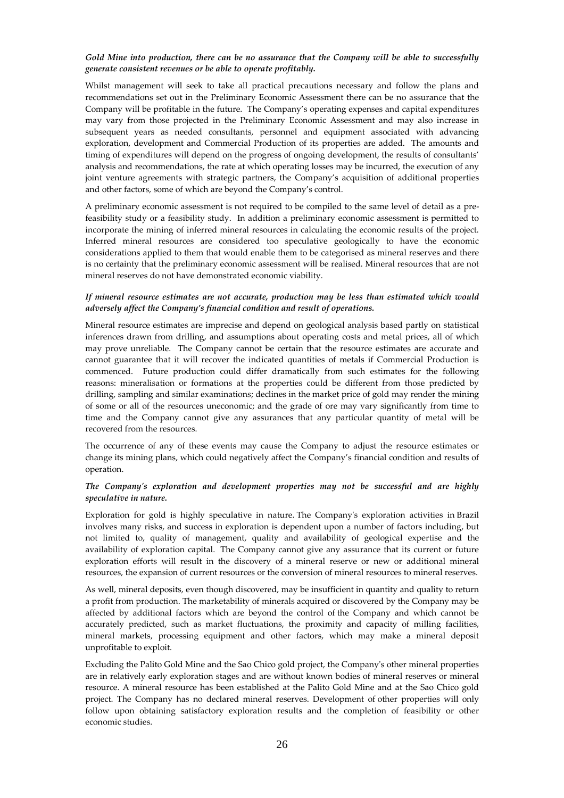# *Gold Mine into production, there can be no assurance that the Company will be able to successfully generate consistent revenues or be able to operate profitably.*

Whilst management will seek to take all practical precautions necessary and follow the plans and recommendations set out in the Preliminary Economic Assessment there can be no assurance that the Company will be profitable in the future. The Company's operating expenses and capital expenditures may vary from those projected in the Preliminary Economic Assessment and may also increase in subsequent years as needed consultants, personnel and equipment associated with advancing exploration, development and Commercial Production of its properties are added. The amounts and timing of expenditures will depend on the progress of ongoing development, the results of consultants' analysis and recommendations, the rate at which operating losses may be incurred, the execution of any joint venture agreements with strategic partners, the Company's acquisition of additional properties and other factors, some of which are beyond the Company's control.

A preliminary economic assessment is not required to be compiled to the same level of detail as a prefeasibility study or a feasibility study. In addition a preliminary economic assessment is permitted to incorporate the mining of inferred mineral resources in calculating the economic results of the project. Inferred mineral resources are considered too speculative geologically to have the economic considerations applied to them that would enable them to be categorised as mineral reserves and there is no certainty that the preliminary economic assessment will be realised. Mineral resources that are not mineral reserves do not have demonstrated economic viability.

# *If mineral resource estimates are not accurate, production may be less than estimated which would adversely affect the Company's financial condition and result of operations.*

Mineral resource estimates are imprecise and depend on geological analysis based partly on statistical inferences drawn from drilling, and assumptions about operating costs and metal prices, all of which may prove unreliable. The Company cannot be certain that the resource estimates are accurate and cannot guarantee that it will recover the indicated quantities of metals if Commercial Production is commenced. Future production could differ dramatically from such estimates for the following reasons: mineralisation or formations at the properties could be different from those predicted by drilling, sampling and similar examinations; declines in the market price of gold may render the mining of some or all of the resources uneconomic; and the grade of ore may vary significantly from time to time and the Company cannot give any assurances that any particular quantity of metal will be recovered from the resources.

The occurrence of any of these events may cause the Company to adjust the resource estimates or change its mining plans, which could negatively affect the Company's financial condition and results of operation.

# *The Company's exploration and development properties may not be successful and are highly speculative in nature.*

Exploration for gold is highly speculative in nature. The Company's exploration activities in Brazil involves many risks, and success in exploration is dependent upon a number of factors including, but not limited to, quality of management, quality and availability of geological expertise and the availability of exploration capital. The Company cannot give any assurance that its current or future exploration efforts will result in the discovery of a mineral reserve or new or additional mineral resources, the expansion of current resources or the conversion of mineral resources to mineral reserves.

As well, mineral deposits, even though discovered, may be insufficient in quantity and quality to return a profit from production. The marketability of minerals acquired or discovered by the Company may be affected by additional factors which are beyond the control of the Company and which cannot be accurately predicted, such as market fluctuations, the proximity and capacity of milling facilities, mineral markets, processing equipment and other factors, which may make a mineral deposit unprofitable to exploit.

Excluding the Palito Gold Mine and the Sao Chico gold project, the Company's other mineral properties are in relatively early exploration stages and are without known bodies of mineral reserves or mineral resource. A mineral resource has been established at the Palito Gold Mine and at the Sao Chico gold project. The Company has no declared mineral reserves. Development of other properties will only follow upon obtaining satisfactory exploration results and the completion of feasibility or other economic studies.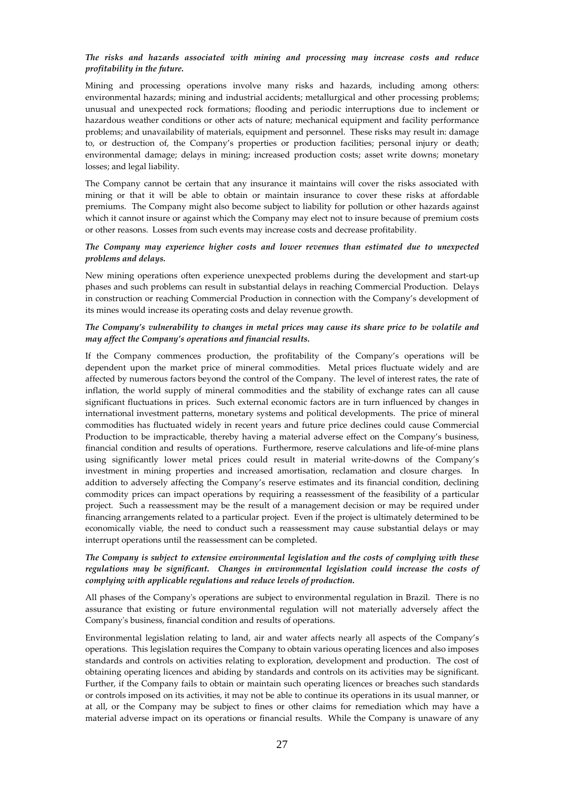# *The risks and hazards associated with mining and processing may increase costs and reduce profitability in the future.*

Mining and processing operations involve many risks and hazards, including among others: environmental hazards; mining and industrial accidents; metallurgical and other processing problems; unusual and unexpected rock formations; flooding and periodic interruptions due to inclement or hazardous weather conditions or other acts of nature; mechanical equipment and facility performance problems; and unavailability of materials, equipment and personnel. These risks may result in: damage to, or destruction of, the Company's properties or production facilities; personal injury or death; environmental damage; delays in mining; increased production costs; asset write downs; monetary losses; and legal liability.

The Company cannot be certain that any insurance it maintains will cover the risks associated with mining or that it will be able to obtain or maintain insurance to cover these risks at affordable premiums. The Company might also become subject to liability for pollution or other hazards against which it cannot insure or against which the Company may elect not to insure because of premium costs or other reasons. Losses from such events may increase costs and decrease profitability.

# *The Company may experience higher costs and lower revenues than estimated due to unexpected problems and delays.*

New mining operations often experience unexpected problems during the development and start-up phases and such problems can result in substantial delays in reaching Commercial Production. Delays in construction or reaching Commercial Production in connection with the Company's development of its mines would increase its operating costs and delay revenue growth.

# *The Company's vulnerability to changes in metal prices may cause its share price to be volatile and may affect the Company's operations and financial results.*

If the Company commences production, the profitability of the Company's operations will be dependent upon the market price of mineral commodities. Metal prices fluctuate widely and are affected by numerous factors beyond the control of the Company. The level of interest rates, the rate of inflation, the world supply of mineral commodities and the stability of exchange rates can all cause significant fluctuations in prices. Such external economic factors are in turn influenced by changes in international investment patterns, monetary systems and political developments. The price of mineral commodities has fluctuated widely in recent years and future price declines could cause Commercial Production to be impracticable, thereby having a material adverse effect on the Company's business, financial condition and results of operations. Furthermore, reserve calculations and life-of-mine plans using significantly lower metal prices could result in material write-downs of the Company's investment in mining properties and increased amortisation, reclamation and closure charges. In addition to adversely affecting the Company's reserve estimates and its financial condition, declining commodity prices can impact operations by requiring a reassessment of the feasibility of a particular project. Such a reassessment may be the result of a management decision or may be required under financing arrangements related to a particular project. Even if the project is ultimately determined to be economically viable, the need to conduct such a reassessment may cause substantial delays or may interrupt operations until the reassessment can be completed.

# *The Company is subject to extensive environmental legislation and the costs of complying with these regulations may be significant. Changes in environmental legislation could increase the costs of complying with applicable regulations and reduce levels of production.*

All phases of the Company's operations are subject to environmental regulation in Brazil. There is no assurance that existing or future environmental regulation will not materially adversely affect the Company's business, financial condition and results of operations.

Environmental legislation relating to land, air and water affects nearly all aspects of the Company's operations. This legislation requires the Company to obtain various operating licences and also imposes standards and controls on activities relating to exploration, development and production. The cost of obtaining operating licences and abiding by standards and controls on its activities may be significant. Further, if the Company fails to obtain or maintain such operating licences or breaches such standards or controls imposed on its activities, it may not be able to continue its operations in its usual manner, or at all, or the Company may be subject to fines or other claims for remediation which may have a material adverse impact on its operations or financial results. While the Company is unaware of any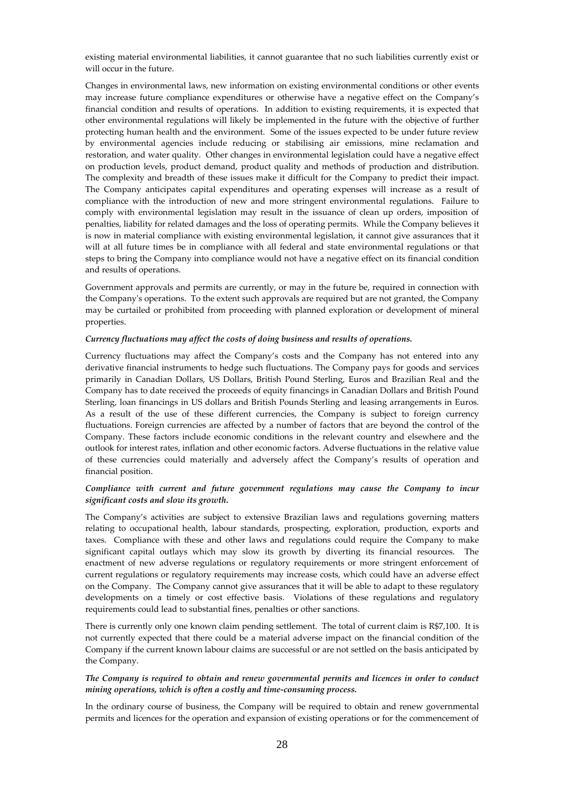existing material environmental liabilities, it cannot guarantee that no such liabilities currently exist or will occur in the future.

Changes in environmental laws, new information on existing environmental conditions or other events may increase future compliance expenditures or otherwise have a negative effect on the Company's financial condition and results of operations. In addition to existing requirements, it is expected that other environmental regulations will likely be implemented in the future with the objective of further protecting human health and the environment. Some of the issues expected to be under future review by environmental agencies include reducing or stabilising air emissions, mine reclamation and restoration, and water quality. Other changes in environmental legislation could have a negative effect on production levels, product demand, product quality and methods of production and distribution. The complexity and breadth of these issues make it difficult for the Company to predict their impact. The Company anticipates capital expenditures and operating expenses will increase as a result of compliance with the introduction of new and more stringent environmental regulations. Failure to comply with environmental legislation may result in the issuance of clean up orders, imposition of penalties, liability for related damages and the loss of operating permits. While the Company believes it is now in material compliance with existing environmental legislation, it cannot give assurances that it will at all future times be in compliance with all federal and state environmental regulations or that steps to bring the Company into compliance would not have a negative effect on its financial condition and results of operations.

Government approvals and permits are currently, or may in the future be, required in connection with the Company's operations. To the extent such approvals are required but are not granted, the Company may be curtailed or prohibited from proceeding with planned exploration or development of mineral properties.

# *Currency fluctuations may affect the costs of doing business and results of operations.*

Currency fluctuations may affect the Company's costs and the Company has not entered into any derivative financial instruments to hedge such fluctuations. The Company pays for goods and services primarily in Canadian Dollars, US Dollars, British Pound Sterling, Euros and Brazilian Real and the Company has to date received the proceeds of equity financings in Canadian Dollars and British Pound Sterling, loan financings in US dollars and British Pounds Sterling and leasing arrangements in Euros. As a result of the use of these different currencies, the Company is subject to foreign currency fluctuations. Foreign currencies are affected by a number of factors that are beyond the control of the Company. These factors include economic conditions in the relevant country and elsewhere and the outlook for interest rates, inflation and other economic factors. Adverse fluctuations in the relative value of these currencies could materially and adversely affect the Company's results of operation and financial position.

# *Compliance with current and future government regulations may cause the Company to incur significant costs and slow its growth.*

The Company's activities are subject to extensive Brazilian laws and regulations governing matters relating to occupational health, labour standards, prospecting, exploration, production, exports and taxes. Compliance with these and other laws and regulations could require the Company to make significant capital outlays which may slow its growth by diverting its financial resources. The enactment of new adverse regulations or regulatory requirements or more stringent enforcement of current regulations or regulatory requirements may increase costs, which could have an adverse effect on the Company. The Company cannot give assurances that it will be able to adapt to these regulatory developments on a timely or cost effective basis. Violations of these regulations and regulatory requirements could lead to substantial fines, penalties or other sanctions.

There is currently only one known claim pending settlement. The total of current claim is R\$7,100. It is not currently expected that there could be a material adverse impact on the financial condition of the Company if the current known labour claims are successful or are not settled on the basis anticipated by the Company.

# *The Company is required to obtain and renew governmental permits and licences in order to conduct mining operations, which is often a costly and time-consuming process.*

In the ordinary course of business, the Company will be required to obtain and renew governmental permits and licences for the operation and expansion of existing operations or for the commencement of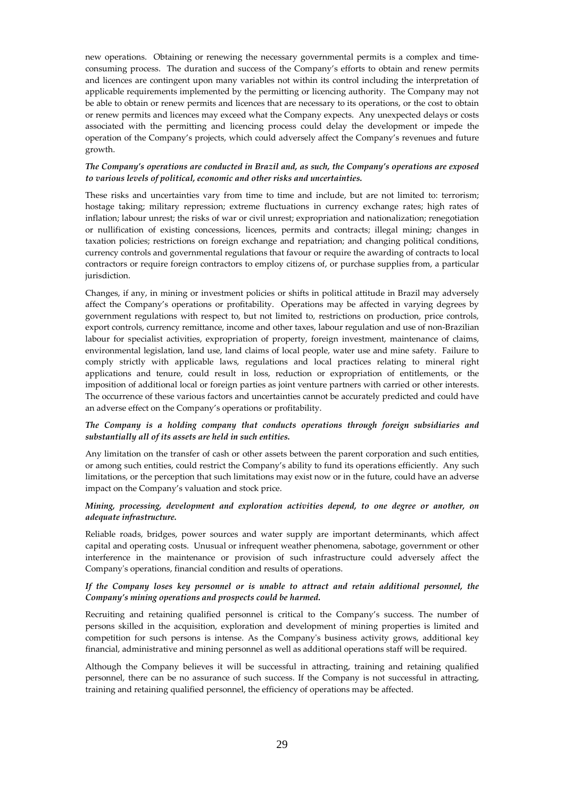new operations. Obtaining or renewing the necessary governmental permits is a complex and timeconsuming process. The duration and success of the Company's efforts to obtain and renew permits and licences are contingent upon many variables not within its control including the interpretation of applicable requirements implemented by the permitting or licencing authority. The Company may not be able to obtain or renew permits and licences that are necessary to its operations, or the cost to obtain or renew permits and licences may exceed what the Company expects. Any unexpected delays or costs associated with the permitting and licencing process could delay the development or impede the operation of the Company's projects, which could adversely affect the Company's revenues and future growth.

# *The Company's operations are conducted in Brazil and, as such, the Company's operations are exposed to various levels of political, economic and other risks and uncertainties.*

These risks and uncertainties vary from time to time and include, but are not limited to: terrorism; hostage taking; military repression; extreme fluctuations in currency exchange rates; high rates of inflation; labour unrest; the risks of war or civil unrest; expropriation and nationalization; renegotiation or nullification of existing concessions, licences, permits and contracts; illegal mining; changes in taxation policies; restrictions on foreign exchange and repatriation; and changing political conditions, currency controls and governmental regulations that favour or require the awarding of contracts to local contractors or require foreign contractors to employ citizens of, or purchase supplies from, a particular jurisdiction.

Changes, if any, in mining or investment policies or shifts in political attitude in Brazil may adversely affect the Company's operations or profitability. Operations may be affected in varying degrees by government regulations with respect to, but not limited to, restrictions on production, price controls, export controls, currency remittance, income and other taxes, labour regulation and use of non-Brazilian labour for specialist activities, expropriation of property, foreign investment, maintenance of claims, environmental legislation, land use, land claims of local people, water use and mine safety. Failure to comply strictly with applicable laws, regulations and local practices relating to mineral right applications and tenure, could result in loss, reduction or expropriation of entitlements, or the imposition of additional local or foreign parties as joint venture partners with carried or other interests. The occurrence of these various factors and uncertainties cannot be accurately predicted and could have an adverse effect on the Company's operations or profitability.

# *The Company is a holding company that conducts operations through foreign subsidiaries and substantially all of its assets are held in such entities.*

Any limitation on the transfer of cash or other assets between the parent corporation and such entities, or among such entities, could restrict the Company's ability to fund its operations efficiently. Any such limitations, or the perception that such limitations may exist now or in the future, could have an adverse impact on the Company's valuation and stock price.

# *Mining, processing, development and exploration activities depend, to one degree or another, on adequate infrastructure.*

Reliable roads, bridges, power sources and water supply are important determinants, which affect capital and operating costs. Unusual or infrequent weather phenomena, sabotage, government or other interference in the maintenance or provision of such infrastructure could adversely affect the Company's operations, financial condition and results of operations.

# *If the Company loses key personnel or is unable to attract and retain additional personnel, the Company's mining operations and prospects could be harmed.*

Recruiting and retaining qualified personnel is critical to the Company's success. The number of persons skilled in the acquisition, exploration and development of mining properties is limited and competition for such persons is intense. As the Company's business activity grows, additional key financial, administrative and mining personnel as well as additional operations staff will be required.

Although the Company believes it will be successful in attracting, training and retaining qualified personnel, there can be no assurance of such success. If the Company is not successful in attracting, training and retaining qualified personnel, the efficiency of operations may be affected.